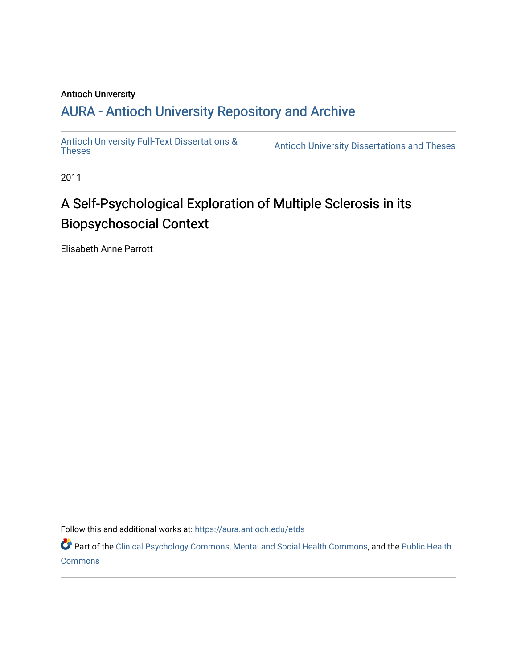#### Antioch University

## A[URA - Antioch University Reposit](https://aura.antioch.edu/)ory and Archive

[Antioch University Full-Text Dissertations &](https://aura.antioch.edu/etds) Antioch University Dissertations and Theses

2011

# A Self-Psychological Exploration of Multiple Sclerosis in its Biopsychosocial Context

Elisabeth Anne Parrott

Follow this and additional works at: [https://aura.antioch.edu/etds](https://aura.antioch.edu/etds?utm_source=aura.antioch.edu%2Fetds%2F852&utm_medium=PDF&utm_campaign=PDFCoverPages)

Part of the [Clinical Psychology Commons,](https://network.bepress.com/hgg/discipline/406?utm_source=aura.antioch.edu%2Fetds%2F852&utm_medium=PDF&utm_campaign=PDFCoverPages) [Mental and Social Health Commons,](https://network.bepress.com/hgg/discipline/709?utm_source=aura.antioch.edu%2Fetds%2F852&utm_medium=PDF&utm_campaign=PDFCoverPages) and the [Public Health](https://network.bepress.com/hgg/discipline/738?utm_source=aura.antioch.edu%2Fetds%2F852&utm_medium=PDF&utm_campaign=PDFCoverPages)  [Commons](https://network.bepress.com/hgg/discipline/738?utm_source=aura.antioch.edu%2Fetds%2F852&utm_medium=PDF&utm_campaign=PDFCoverPages)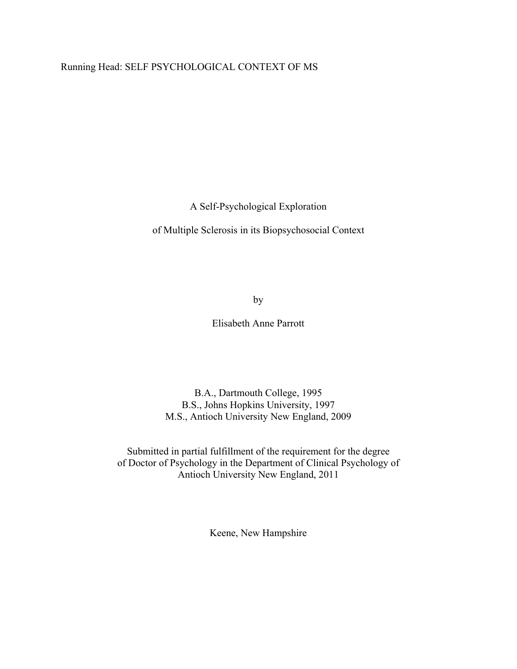### Running Head: SELF PSYCHOLOGICAL CONTEXT OF MS

A Self-Psychological Exploration

of Multiple Sclerosis in its Biopsychosocial Context

by

Elisabeth Anne Parrott

B.A., Dartmouth College, 1995 B.S., Johns Hopkins University, 1997 M.S., Antioch University New England, 2009

Submitted in partial fulfillment of the requirement for the degree of Doctor of Psychology in the Department of Clinical Psychology of Antioch University New England, 2011

Keene, New Hampshire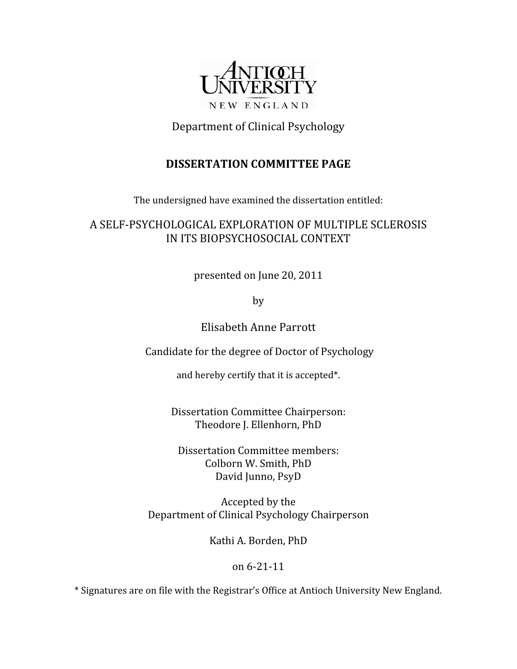

Department of Clinical Psychology

## **DISSERTATION COMMITTEE PAGE**

The undersigned have examined the dissertation entitled:

## A SELF-PSYCHOLOGICAL EXPLORATION OF MULTIPLE SCLEROSIS IN ITS BIOPSYCHOSOCIAL CONTEXT

presented on June 20, 2011

by

Elisabeth Anne Parrott

Candidate for the degree of Doctor of Psychology

and hereby certify that it is accepted\*.

Dissertation Committee Chairperson: Theodore J. Ellenhorn, PhD

Dissertation Committee members: Colborn W. Smith, PhD David Junno, PsyD

Accepted by the Department of Clinical Psychology Chairperson

Kathi A. Borden, PhD

## $on 6-21-11$

\* Signatures are on file with the Registrar's Office at Antioch University New England.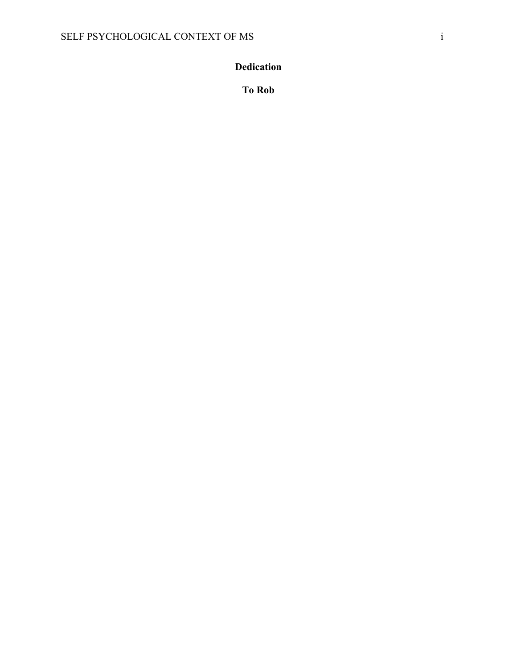## <span id="page-3-0"></span>**Dedication**

**To Rob**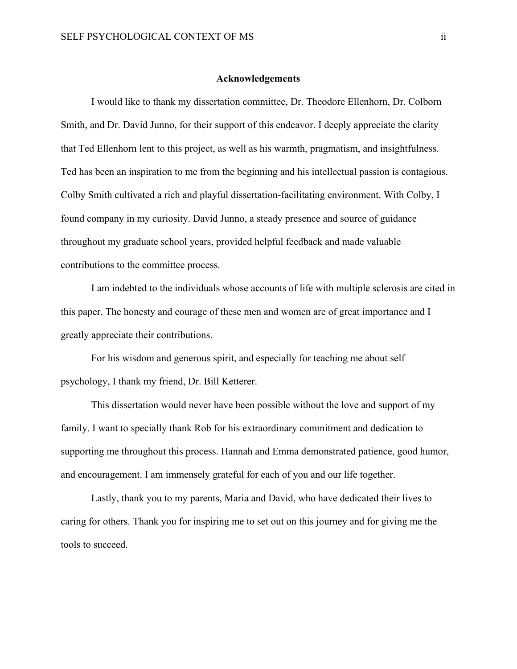#### **Acknowledgements**

<span id="page-4-0"></span>I would like to thank my dissertation committee, Dr. Theodore Ellenhorn, Dr. Colborn Smith, and Dr. David Junno, for their support of this endeavor. I deeply appreciate the clarity that Ted Ellenhorn lent to this project, as well as his warmth, pragmatism, and insightfulness. Ted has been an inspiration to me from the beginning and his intellectual passion is contagious. Colby Smith cultivated a rich and playful dissertation-facilitating environment. With Colby, I found company in my curiosity. David Junno, a steady presence and source of guidance throughout my graduate school years, provided helpful feedback and made valuable contributions to the committee process.

I am indebted to the individuals whose accounts of life with multiple sclerosis are cited in this paper. The honesty and courage of these men and women are of great importance and I greatly appreciate their contributions.

For his wisdom and generous spirit, and especially for teaching me about self psychology, I thank my friend, Dr. Bill Ketterer.

This dissertation would never have been possible without the love and support of my family. I want to specially thank Rob for his extraordinary commitment and dedication to supporting me throughout this process. Hannah and Emma demonstrated patience, good humor, and encouragement. I am immensely grateful for each of you and our life together.

Lastly, thank you to my parents, Maria and David, who have dedicated their lives to caring for others. Thank you for inspiring me to set out on this journey and for giving me the tools to succeed.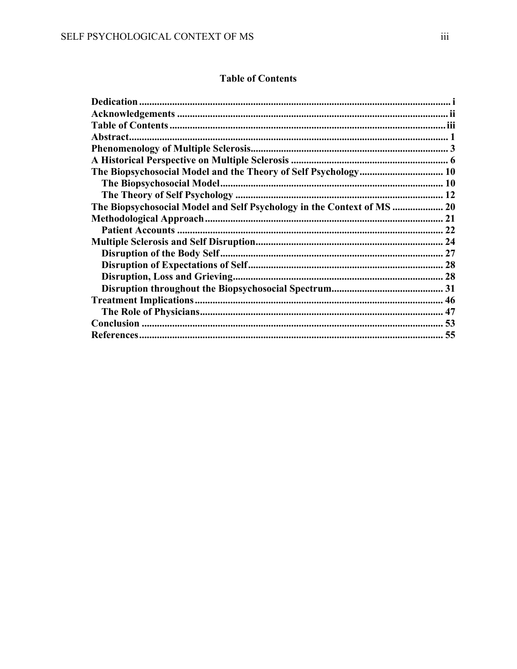### **Table of Contents**

<span id="page-5-0"></span>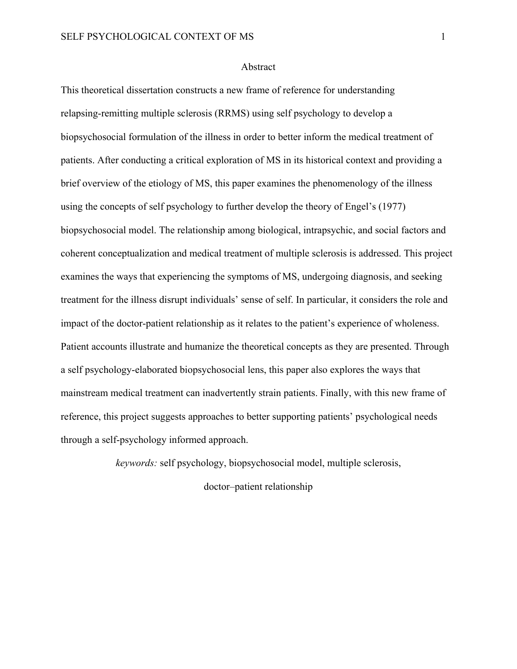#### Abstract

<span id="page-6-0"></span>This theoretical dissertation constructs a new frame of reference for understanding relapsing-remitting multiple sclerosis (RRMS) using self psychology to develop a biopsychosocial formulation of the illness in order to better inform the medical treatment of patients. After conducting a critical exploration of MS in its historical context and providing a brief overview of the etiology of MS, this paper examines the phenomenology of the illness using the concepts of self psychology to further develop the theory of Engel's (1977) biopsychosocial model. The relationship among biological, intrapsychic, and social factors and coherent conceptualization and medical treatment of multiple sclerosis is addressed. This project examines the ways that experiencing the symptoms of MS, undergoing diagnosis, and seeking treatment for the illness disrupt individuals' sense of self. In particular, it considers the role and impact of the doctor-patient relationship as it relates to the patient's experience of wholeness. Patient accounts illustrate and humanize the theoretical concepts as they are presented. Through a self psychology-elaborated biopsychosocial lens, this paper also explores the ways that mainstream medical treatment can inadvertently strain patients. Finally, with this new frame of reference, this project suggests approaches to better supporting patients' psychological needs through a self-psychology informed approach.

*keywords:* self psychology, biopsychosocial model, multiple sclerosis,

doctor–patient relationship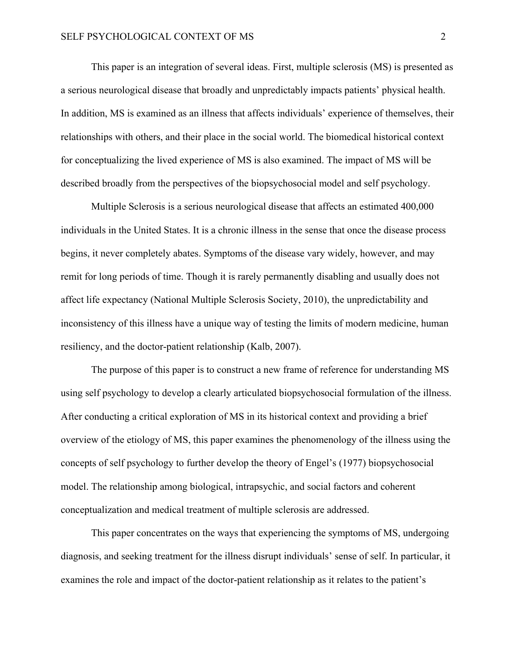This paper is an integration of several ideas. First, multiple sclerosis (MS) is presented as a serious neurological disease that broadly and unpredictably impacts patients' physical health. In addition, MS is examined as an illness that affects individuals' experience of themselves, their relationships with others, and their place in the social world. The biomedical historical context for conceptualizing the lived experience of MS is also examined. The impact of MS will be described broadly from the perspectives of the biopsychosocial model and self psychology.

Multiple Sclerosis is a serious neurological disease that affects an estimated 400,000 individuals in the United States. It is a chronic illness in the sense that once the disease process begins, it never completely abates. Symptoms of the disease vary widely, however, and may remit for long periods of time. Though it is rarely permanently disabling and usually does not affect life expectancy (National Multiple Sclerosis Society, 2010), the unpredictability and inconsistency of this illness have a unique way of testing the limits of modern medicine, human resiliency, and the doctor-patient relationship (Kalb, 2007).

 The purpose of this paper is to construct a new frame of reference for understanding MS using self psychology to develop a clearly articulated biopsychosocial formulation of the illness. After conducting a critical exploration of MS in its historical context and providing a brief overview of the etiology of MS, this paper examines the phenomenology of the illness using the concepts of self psychology to further develop the theory of Engel's (1977) biopsychosocial model. The relationship among biological, intrapsychic, and social factors and coherent conceptualization and medical treatment of multiple sclerosis are addressed.

 This paper concentrates on the ways that experiencing the symptoms of MS, undergoing diagnosis, and seeking treatment for the illness disrupt individuals' sense of self. In particular, it examines the role and impact of the doctor-patient relationship as it relates to the patient's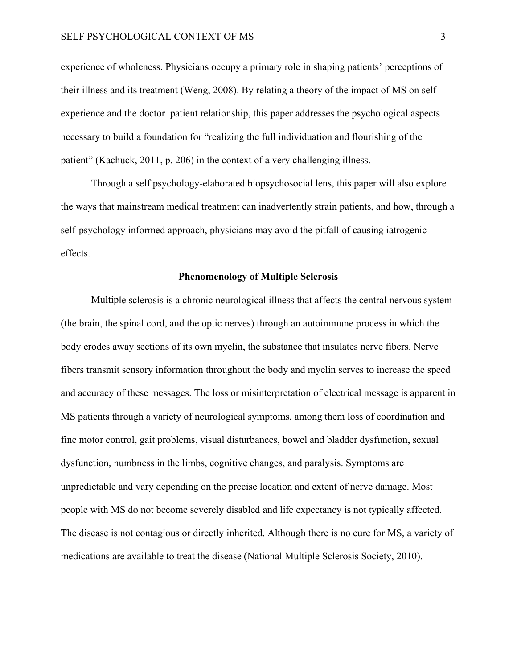experience of wholeness. Physicians occupy a primary role in shaping patients' perceptions of their illness and its treatment (Weng, 2008). By relating a theory of the impact of MS on self experience and the doctor–patient relationship, this paper addresses the psychological aspects necessary to build a foundation for "realizing the full individuation and flourishing of the patient" (Kachuck, 2011, p. 206) in the context of a very challenging illness.

 Through a self psychology-elaborated biopsychosocial lens, this paper will also explore the ways that mainstream medical treatment can inadvertently strain patients, and how, through a self-psychology informed approach, physicians may avoid the pitfall of causing iatrogenic effects.

#### **Phenomenology of Multiple Sclerosis**

<span id="page-8-0"></span>Multiple sclerosis is a chronic neurological illness that affects the central nervous system (the brain, the spinal cord, and the optic nerves) through an autoimmune process in which the body erodes away sections of its own myelin, the substance that insulates nerve fibers. Nerve fibers transmit sensory information throughout the body and myelin serves to increase the speed and accuracy of these messages. The loss or misinterpretation of electrical message is apparent in MS patients through a variety of neurological symptoms, among them loss of coordination and fine motor control, gait problems, visual disturbances, bowel and bladder dysfunction, sexual dysfunction, numbness in the limbs, cognitive changes, and paralysis. Symptoms are unpredictable and vary depending on the precise location and extent of nerve damage. Most people with MS do not become severely disabled and life expectancy is not typically affected. The disease is not contagious or directly inherited. Although there is no cure for MS, a variety of medications are available to treat the disease (National Multiple Sclerosis Society, 2010).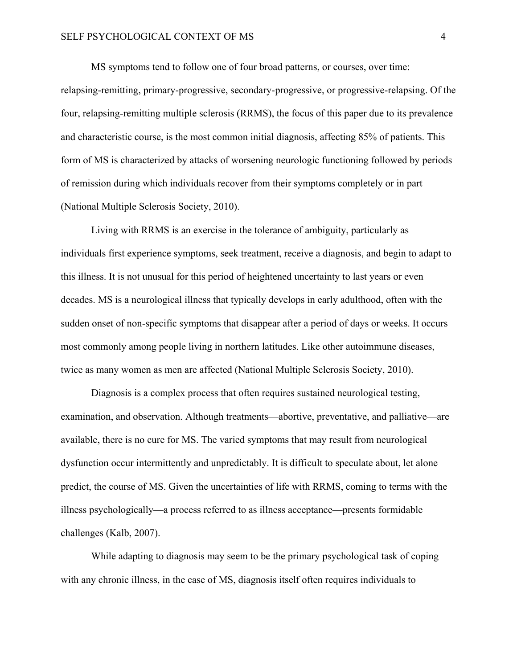MS symptoms tend to follow one of four broad patterns, or courses, over time: relapsing-remitting, primary-progressive, secondary-progressive, or progressive-relapsing. Of the four, relapsing-remitting multiple sclerosis (RRMS), the focus of this paper due to its prevalence and characteristic course, is the most common initial diagnosis, affecting 85% of patients. This form of MS is characterized by attacks of worsening neurologic functioning followed by periods of remission during which individuals recover from their symptoms completely or in part (National Multiple Sclerosis Society, 2010).

Living with RRMS is an exercise in the tolerance of ambiguity, particularly as individuals first experience symptoms, seek treatment, receive a diagnosis, and begin to adapt to this illness. It is not unusual for this period of heightened uncertainty to last years or even decades. MS is a neurological illness that typically develops in early adulthood, often with the sudden onset of non-specific symptoms that disappear after a period of days or weeks. It occurs most commonly among people living in northern latitudes. Like other autoimmune diseases, twice as many women as men are affected (National Multiple Sclerosis Society, 2010).

Diagnosis is a complex process that often requires sustained neurological testing, examination, and observation. Although treatments—abortive, preventative, and palliative—are available, there is no cure for MS. The varied symptoms that may result from neurological dysfunction occur intermittently and unpredictably. It is difficult to speculate about, let alone predict, the course of MS. Given the uncertainties of life with RRMS, coming to terms with the illness psychologically—a process referred to as illness acceptance—presents formidable challenges (Kalb, 2007).

While adapting to diagnosis may seem to be the primary psychological task of coping with any chronic illness, in the case of MS, diagnosis itself often requires individuals to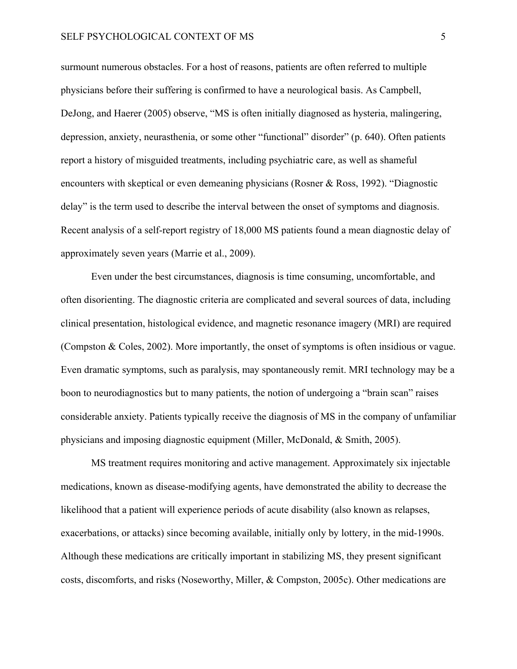surmount numerous obstacles. For a host of reasons, patients are often referred to multiple physicians before their suffering is confirmed to have a neurological basis. As Campbell, DeJong, and Haerer (2005) observe, "MS is often initially diagnosed as hysteria, malingering, depression, anxiety, neurasthenia, or some other "functional" disorder" (p. 640). Often patients report a history of misguided treatments, including psychiatric care, as well as shameful encounters with skeptical or even demeaning physicians (Rosner & Ross, 1992). "Diagnostic delay" is the term used to describe the interval between the onset of symptoms and diagnosis. Recent analysis of a self-report registry of 18,000 MS patients found a mean diagnostic delay of approximately seven years (Marrie et al., 2009).

Even under the best circumstances, diagnosis is time consuming, uncomfortable, and often disorienting. The diagnostic criteria are complicated and several sources of data, including clinical presentation, histological evidence, and magnetic resonance imagery (MRI) are required (Compston & Coles, 2002). More importantly, the onset of symptoms is often insidious or vague. Even dramatic symptoms, such as paralysis, may spontaneously remit. MRI technology may be a boon to neurodiagnostics but to many patients, the notion of undergoing a "brain scan" raises considerable anxiety. Patients typically receive the diagnosis of MS in the company of unfamiliar physicians and imposing diagnostic equipment (Miller, McDonald, & Smith, 2005).

MS treatment requires monitoring and active management. Approximately six injectable medications, known as disease-modifying agents, have demonstrated the ability to decrease the likelihood that a patient will experience periods of acute disability (also known as relapses, exacerbations, or attacks) since becoming available, initially only by lottery, in the mid-1990s. Although these medications are critically important in stabilizing MS, they present significant costs, discomforts, and risks (Noseworthy, Miller, & Compston, 2005c). Other medications are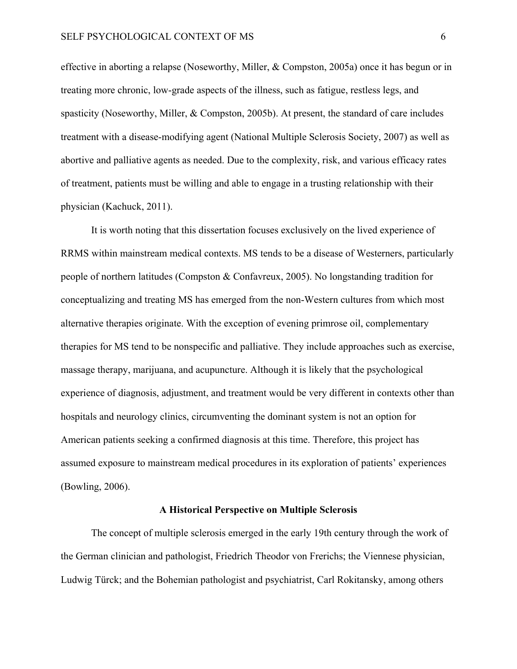effective in aborting a relapse (Noseworthy, Miller, & Compston, 2005a) once it has begun or in treating more chronic, low-grade aspects of the illness, such as fatigue, restless legs, and spasticity (Noseworthy, Miller, & Compston, 2005b). At present, the standard of care includes treatment with a disease-modifying agent (National Multiple Sclerosis Society, 2007) as well as abortive and palliative agents as needed. Due to the complexity, risk, and various efficacy rates of treatment, patients must be willing and able to engage in a trusting relationship with their physician (Kachuck, 2011).

It is worth noting that this dissertation focuses exclusively on the lived experience of RRMS within mainstream medical contexts. MS tends to be a disease of Westerners, particularly people of northern latitudes (Compston & Confavreux, 2005). No longstanding tradition for conceptualizing and treating MS has emerged from the non-Western cultures from which most alternative therapies originate. With the exception of evening primrose oil, complementary therapies for MS tend to be nonspecific and palliative. They include approaches such as exercise, massage therapy, marijuana, and acupuncture. Although it is likely that the psychological experience of diagnosis, adjustment, and treatment would be very different in contexts other than hospitals and neurology clinics, circumventing the dominant system is not an option for American patients seeking a confirmed diagnosis at this time. Therefore, this project has assumed exposure to mainstream medical procedures in its exploration of patients' experiences (Bowling, 2006).

#### **A Historical Perspective on Multiple Sclerosis**

<span id="page-11-0"></span>The concept of multiple sclerosis emerged in the early 19th century through the work of the German clinician and pathologist, Friedrich Theodor von Frerichs; the Viennese physician, Ludwig Türck; and the Bohemian pathologist and psychiatrist, Carl Rokitansky, among others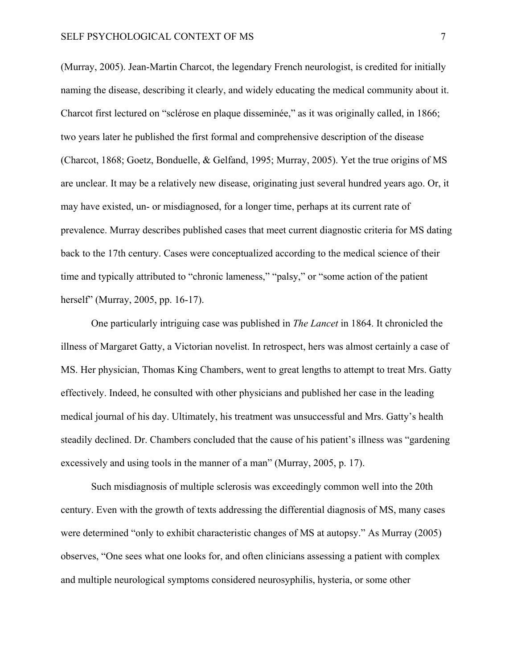#### SELF PSYCHOLOGICAL CONTEXT OF MS  $7$

(Murray, 2005). Jean-Martin Charcot, the legendary French neurologist, is credited for initially naming the disease, describing it clearly, and widely educating the medical community about it. Charcot first lectured on "sclérose en plaque disseminée," as it was originally called, in 1866; two years later he published the first formal and comprehensive description of the disease (Charcot, 1868; Goetz, Bonduelle, & Gelfand, 1995; Murray, 2005). Yet the true origins of MS are unclear. It may be a relatively new disease, originating just several hundred years ago. Or, it may have existed, un- or misdiagnosed, for a longer time, perhaps at its current rate of prevalence. Murray describes published cases that meet current diagnostic criteria for MS dating back to the 17th century. Cases were conceptualized according to the medical science of their time and typically attributed to "chronic lameness," "palsy," or "some action of the patient herself" (Murray, 2005, pp. 16-17).

One particularly intriguing case was published in *The Lancet* in 1864. It chronicled the illness of Margaret Gatty, a Victorian novelist. In retrospect, hers was almost certainly a case of MS. Her physician, Thomas King Chambers, went to great lengths to attempt to treat Mrs. Gatty effectively. Indeed, he consulted with other physicians and published her case in the leading medical journal of his day. Ultimately, his treatment was unsuccessful and Mrs. Gatty's health steadily declined. Dr. Chambers concluded that the cause of his patient's illness was "gardening excessively and using tools in the manner of a man" (Murray, 2005, p. 17).

Such misdiagnosis of multiple sclerosis was exceedingly common well into the 20th century. Even with the growth of texts addressing the differential diagnosis of MS, many cases were determined "only to exhibit characteristic changes of MS at autopsy." As Murray (2005) observes, "One sees what one looks for, and often clinicians assessing a patient with complex and multiple neurological symptoms considered neurosyphilis, hysteria, or some other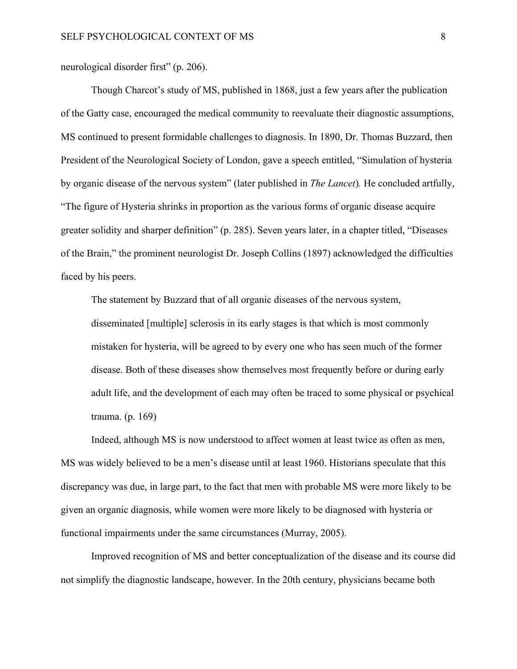neurological disorder first" (p. 206).

Though Charcot's study of MS, published in 1868, just a few years after the publication of the Gatty case, encouraged the medical community to reevaluate their diagnostic assumptions, MS continued to present formidable challenges to diagnosis. In 1890, Dr. Thomas Buzzard, then President of the Neurological Society of London, gave a speech entitled, "Simulation of hysteria by organic disease of the nervous system" (later published in *The Lancet*)*.* He concluded artfully, "The figure of Hysteria shrinks in proportion as the various forms of organic disease acquire greater solidity and sharper definition" (p. 285). Seven years later, in a chapter titled, "Diseases of the Brain," the prominent neurologist Dr. Joseph Collins (1897) acknowledged the difficulties faced by his peers.

The statement by Buzzard that of all organic diseases of the nervous system, disseminated [multiple] sclerosis in its early stages is that which is most commonly mistaken for hysteria, will be agreed to by every one who has seen much of the former disease. Both of these diseases show themselves most frequently before or during early adult life, and the development of each may often be traced to some physical or psychical trauma. (p. 169)

Indeed, although MS is now understood to affect women at least twice as often as men, MS was widely believed to be a men's disease until at least 1960. Historians speculate that this discrepancy was due, in large part, to the fact that men with probable MS were more likely to be given an organic diagnosis, while women were more likely to be diagnosed with hysteria or functional impairments under the same circumstances (Murray, 2005).

Improved recognition of MS and better conceptualization of the disease and its course did not simplify the diagnostic landscape, however. In the 20th century, physicians became both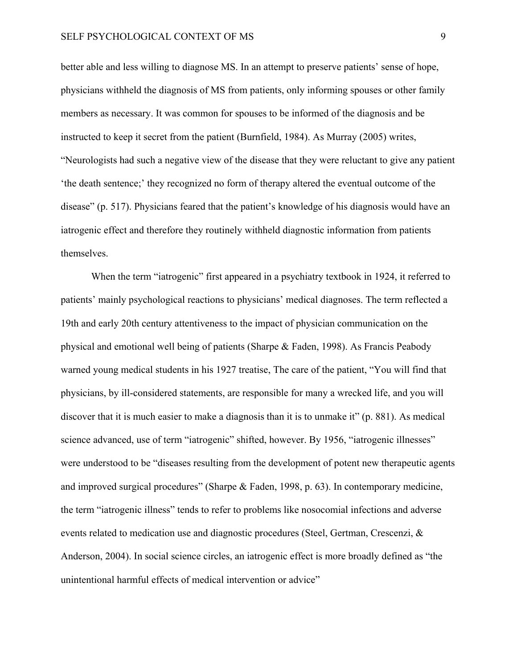better able and less willing to diagnose MS. In an attempt to preserve patients' sense of hope, physicians withheld the diagnosis of MS from patients, only informing spouses or other family members as necessary. It was common for spouses to be informed of the diagnosis and be instructed to keep it secret from the patient (Burnfield, 1984). As Murray (2005) writes, "Neurologists had such a negative view of the disease that they were reluctant to give any patient 'the death sentence;' they recognized no form of therapy altered the eventual outcome of the disease" (p. 517). Physicians feared that the patient's knowledge of his diagnosis would have an iatrogenic effect and therefore they routinely withheld diagnostic information from patients themselves.

 When the term "iatrogenic" first appeared in a psychiatry textbook in 1924, it referred to patients' mainly psychological reactions to physicians' medical diagnoses. The term reflected a 19th and early 20th century attentiveness to the impact of physician communication on the physical and emotional well being of patients (Sharpe & Faden, 1998). As Francis Peabody warned young medical students in his 1927 treatise, The care of the patient, "You will find that physicians, by ill-considered statements, are responsible for many a wrecked life, and you will discover that it is much easier to make a diagnosis than it is to unmake it" (p. 881). As medical science advanced, use of term "iatrogenic" shifted, however. By 1956, "iatrogenic illnesses" were understood to be "diseases resulting from the development of potent new therapeutic agents and improved surgical procedures" (Sharpe & Faden, 1998, p. 63). In contemporary medicine, the term "iatrogenic illness" tends to refer to problems like nosocomial infections and adverse events related to medication use and diagnostic procedures (Steel, Gertman, Crescenzi, & Anderson, 2004). In social science circles, an iatrogenic effect is more broadly defined as "the unintentional harmful effects of medical intervention or advice"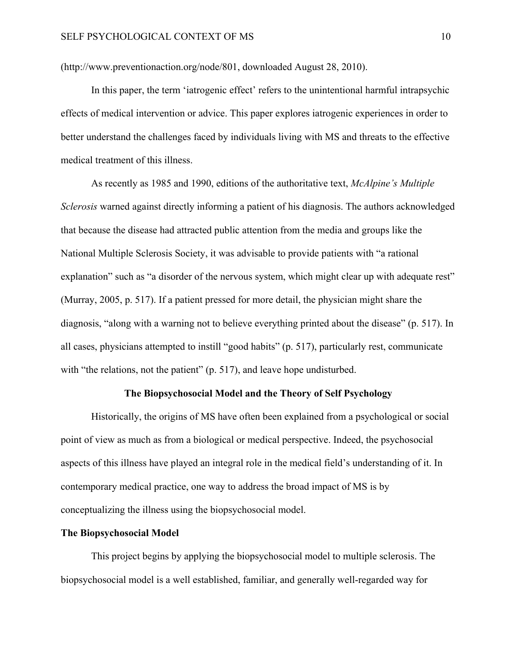(http://www.preventionaction.org/node/801, downloaded August 28, 2010).

In this paper, the term 'iatrogenic effect' refers to the unintentional harmful intrapsychic effects of medical intervention or advice. This paper explores iatrogenic experiences in order to better understand the challenges faced by individuals living with MS and threats to the effective medical treatment of this illness.

As recently as 1985 and 1990, editions of the authoritative text, *McAlpine's Multiple Sclerosis* warned against directly informing a patient of his diagnosis. The authors acknowledged that because the disease had attracted public attention from the media and groups like the National Multiple Sclerosis Society, it was advisable to provide patients with "a rational explanation" such as "a disorder of the nervous system, which might clear up with adequate rest" (Murray, 2005, p. 517). If a patient pressed for more detail, the physician might share the diagnosis, "along with a warning not to believe everything printed about the disease" (p. 517). In all cases, physicians attempted to instill "good habits" (p. 517), particularly rest, communicate with "the relations, not the patient" (p. 517), and leave hope undisturbed.

#### **The Biopsychosocial Model and the Theory of Self Psychology**

<span id="page-15-0"></span>Historically, the origins of MS have often been explained from a psychological or social point of view as much as from a biological or medical perspective. Indeed, the psychosocial aspects of this illness have played an integral role in the medical field's understanding of it. In contemporary medical practice, one way to address the broad impact of MS is by conceptualizing the illness using the biopsychosocial model.

#### <span id="page-15-1"></span>**The Biopsychosocial Model**

This project begins by applying the biopsychosocial model to multiple sclerosis. The biopsychosocial model is a well established, familiar, and generally well-regarded way for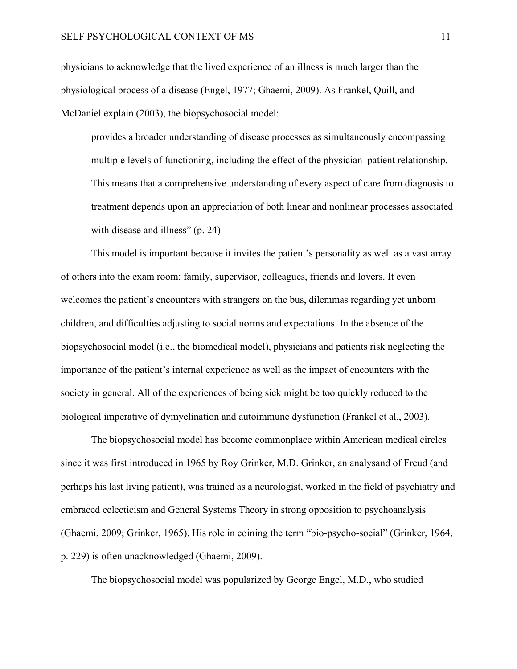physicians to acknowledge that the lived experience of an illness is much larger than the physiological process of a disease (Engel, 1977; Ghaemi, 2009). As Frankel, Quill, and McDaniel explain (2003), the biopsychosocial model:

provides a broader understanding of disease processes as simultaneously encompassing multiple levels of functioning, including the effect of the physician–patient relationship. This means that a comprehensive understanding of every aspect of care from diagnosis to treatment depends upon an appreciation of both linear and nonlinear processes associated with disease and illness" (p. 24)

 This model is important because it invites the patient's personality as well as a vast array of others into the exam room: family, supervisor, colleagues, friends and lovers. It even welcomes the patient's encounters with strangers on the bus, dilemmas regarding yet unborn children, and difficulties adjusting to social norms and expectations. In the absence of the biopsychosocial model (i.e., the biomedical model), physicians and patients risk neglecting the importance of the patient's internal experience as well as the impact of encounters with the society in general. All of the experiences of being sick might be too quickly reduced to the biological imperative of dymyelination and autoimmune dysfunction (Frankel et al., 2003).

The biopsychosocial model has become commonplace within American medical circles since it was first introduced in 1965 by Roy Grinker, M.D. Grinker, an analysand of Freud (and perhaps his last living patient), was trained as a neurologist, worked in the field of psychiatry and embraced eclecticism and General Systems Theory in strong opposition to psychoanalysis (Ghaemi, 2009; Grinker, 1965). His role in coining the term "bio-psycho-social" (Grinker, 1964, p. 229) is often unacknowledged (Ghaemi, 2009).

The biopsychosocial model was popularized by George Engel, M.D., who studied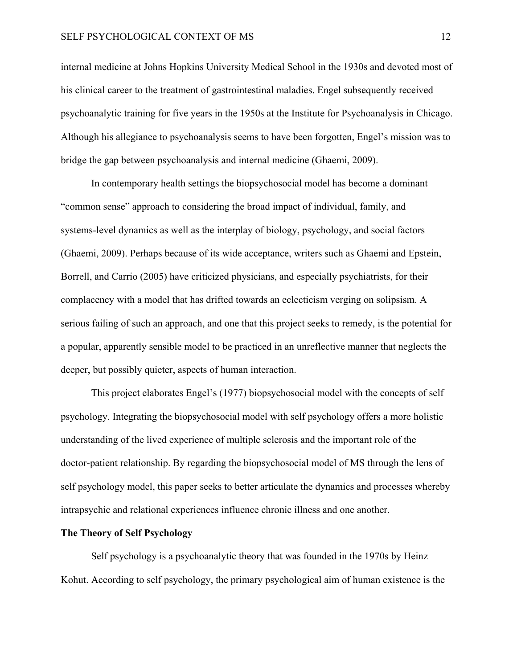#### SELF PSYCHOLOGICAL CONTEXT OF MS 12

internal medicine at Johns Hopkins University Medical School in the 1930s and devoted most of his clinical career to the treatment of gastrointestinal maladies. Engel subsequently received psychoanalytic training for five years in the 1950s at the Institute for Psychoanalysis in Chicago. Although his allegiance to psychoanalysis seems to have been forgotten, Engel's mission was to bridge the gap between psychoanalysis and internal medicine (Ghaemi, 2009).

In contemporary health settings the biopsychosocial model has become a dominant "common sense" approach to considering the broad impact of individual, family, and systems-level dynamics as well as the interplay of biology, psychology, and social factors (Ghaemi, 2009). Perhaps because of its wide acceptance, writers such as Ghaemi and Epstein, Borrell, and Carrio (2005) have criticized physicians, and especially psychiatrists, for their complacency with a model that has drifted towards an eclecticism verging on solipsism. A serious failing of such an approach, and one that this project seeks to remedy, is the potential for a popular, apparently sensible model to be practiced in an unreflective manner that neglects the deeper, but possibly quieter, aspects of human interaction.

 This project elaborates Engel's (1977) biopsychosocial model with the concepts of self psychology. Integrating the biopsychosocial model with self psychology offers a more holistic understanding of the lived experience of multiple sclerosis and the important role of the doctor-patient relationship. By regarding the biopsychosocial model of MS through the lens of self psychology model, this paper seeks to better articulate the dynamics and processes whereby intrapsychic and relational experiences influence chronic illness and one another.

#### <span id="page-17-0"></span>**The Theory of Self Psychology**

Self psychology is a psychoanalytic theory that was founded in the 1970s by Heinz Kohut. According to self psychology, the primary psychological aim of human existence is the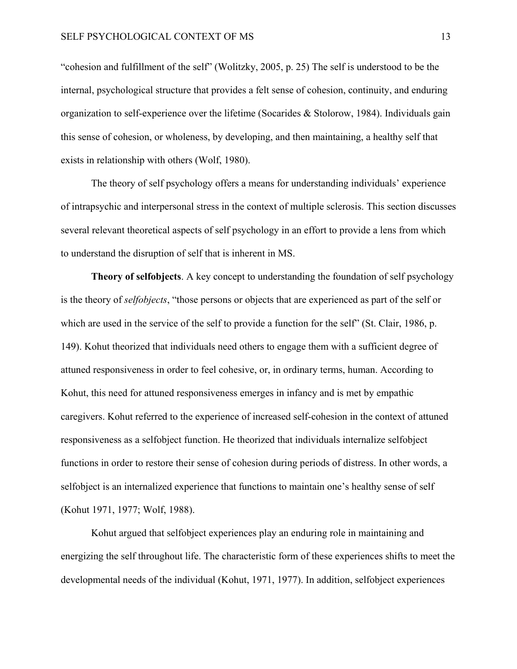"cohesion and fulfillment of the self" (Wolitzky, 2005, p. 25) The self is understood to be the internal, psychological structure that provides a felt sense of cohesion, continuity, and enduring organization to self-experience over the lifetime (Socarides & Stolorow, 1984). Individuals gain this sense of cohesion, or wholeness, by developing, and then maintaining, a healthy self that exists in relationship with others (Wolf, 1980).

The theory of self psychology offers a means for understanding individuals' experience of intrapsychic and interpersonal stress in the context of multiple sclerosis. This section discusses several relevant theoretical aspects of self psychology in an effort to provide a lens from which to understand the disruption of self that is inherent in MS.

**Theory of selfobjects**. A key concept to understanding the foundation of self psychology is the theory of *selfobjects*, "those persons or objects that are experienced as part of the self or which are used in the service of the self to provide a function for the self" (St. Clair, 1986, p. 149). Kohut theorized that individuals need others to engage them with a sufficient degree of attuned responsiveness in order to feel cohesive, or, in ordinary terms, human. According to Kohut, this need for attuned responsiveness emerges in infancy and is met by empathic caregivers. Kohut referred to the experience of increased self-cohesion in the context of attuned responsiveness as a selfobject function. He theorized that individuals internalize selfobject functions in order to restore their sense of cohesion during periods of distress. In other words, a selfobject is an internalized experience that functions to maintain one's healthy sense of self (Kohut 1971, 1977; Wolf, 1988).

 Kohut argued that selfobject experiences play an enduring role in maintaining and energizing the self throughout life. The characteristic form of these experiences shifts to meet the developmental needs of the individual (Kohut, 1971, 1977). In addition, selfobject experiences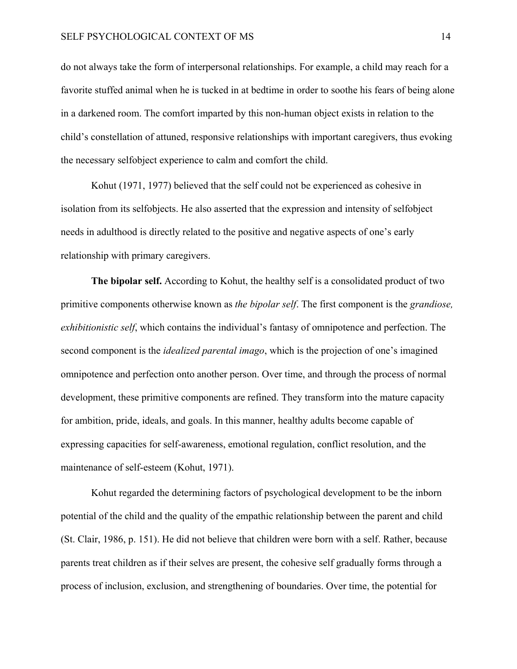do not always take the form of interpersonal relationships. For example, a child may reach for a favorite stuffed animal when he is tucked in at bedtime in order to soothe his fears of being alone in a darkened room. The comfort imparted by this non-human object exists in relation to the child's constellation of attuned, responsive relationships with important caregivers, thus evoking the necessary selfobject experience to calm and comfort the child.

 Kohut (1971, 1977) believed that the self could not be experienced as cohesive in isolation from its selfobjects. He also asserted that the expression and intensity of selfobject needs in adulthood is directly related to the positive and negative aspects of one's early relationship with primary caregivers.

**The bipolar self.** According to Kohut, the healthy self is a consolidated product of two primitive components otherwise known as *the bipolar self*. The first component is the *grandiose, exhibitionistic self*, which contains the individual's fantasy of omnipotence and perfection. The second component is the *idealized parental imago*, which is the projection of one's imagined omnipotence and perfection onto another person. Over time, and through the process of normal development, these primitive components are refined. They transform into the mature capacity for ambition, pride, ideals, and goals. In this manner, healthy adults become capable of expressing capacities for self-awareness, emotional regulation, conflict resolution, and the maintenance of self-esteem (Kohut, 1971).

Kohut regarded the determining factors of psychological development to be the inborn potential of the child and the quality of the empathic relationship between the parent and child (St. Clair, 1986, p. 151). He did not believe that children were born with a self. Rather, because parents treat children as if their selves are present, the cohesive self gradually forms through a process of inclusion, exclusion, and strengthening of boundaries. Over time, the potential for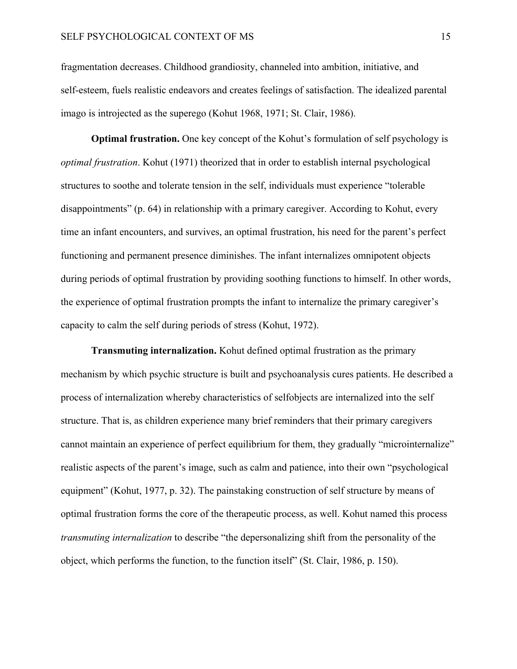fragmentation decreases. Childhood grandiosity, channeled into ambition, initiative, and self-esteem, fuels realistic endeavors and creates feelings of satisfaction. The idealized parental imago is introjected as the superego (Kohut 1968, 1971; St. Clair, 1986).

**Optimal frustration.** One key concept of the Kohut's formulation of self psychology is *optimal frustration*. Kohut (1971) theorized that in order to establish internal psychological structures to soothe and tolerate tension in the self, individuals must experience "tolerable disappointments" (p. 64) in relationship with a primary caregiver. According to Kohut, every time an infant encounters, and survives, an optimal frustration, his need for the parent's perfect functioning and permanent presence diminishes. The infant internalizes omnipotent objects during periods of optimal frustration by providing soothing functions to himself. In other words, the experience of optimal frustration prompts the infant to internalize the primary caregiver's capacity to calm the self during periods of stress (Kohut, 1972).

**Transmuting internalization.** Kohut defined optimal frustration as the primary mechanism by which psychic structure is built and psychoanalysis cures patients. He described a process of internalization whereby characteristics of selfobjects are internalized into the self structure. That is, as children experience many brief reminders that their primary caregivers cannot maintain an experience of perfect equilibrium for them, they gradually "microinternalize" realistic aspects of the parent's image, such as calm and patience, into their own "psychological equipment" (Kohut, 1977, p. 32). The painstaking construction of self structure by means of optimal frustration forms the core of the therapeutic process, as well. Kohut named this process *transmuting internalization* to describe "the depersonalizing shift from the personality of the object, which performs the function, to the function itself" (St. Clair, 1986, p. 150).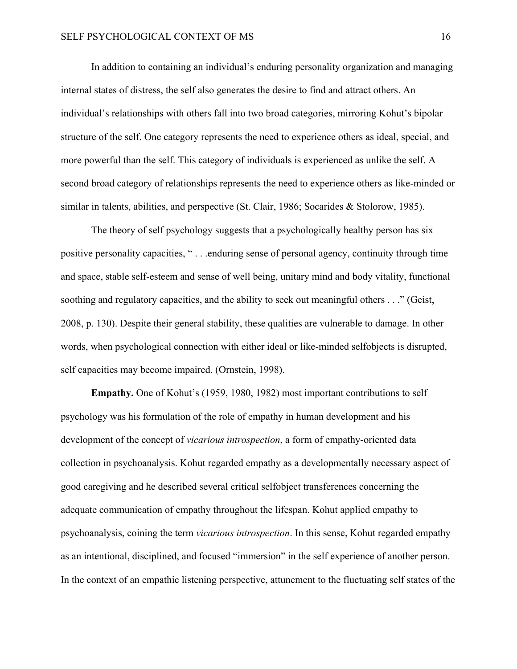In addition to containing an individual's enduring personality organization and managing internal states of distress, the self also generates the desire to find and attract others. An individual's relationships with others fall into two broad categories, mirroring Kohut's bipolar structure of the self. One category represents the need to experience others as ideal, special, and more powerful than the self. This category of individuals is experienced as unlike the self. A second broad category of relationships represents the need to experience others as like-minded or similar in talents, abilities, and perspective (St. Clair, 1986; Socarides & Stolorow, 1985).

The theory of self psychology suggests that a psychologically healthy person has six positive personality capacities, " . . .enduring sense of personal agency, continuity through time and space, stable self-esteem and sense of well being, unitary mind and body vitality, functional soothing and regulatory capacities, and the ability to seek out meaningful others . . ." (Geist, 2008, p. 130). Despite their general stability, these qualities are vulnerable to damage. In other words, when psychological connection with either ideal or like-minded selfobjects is disrupted, self capacities may become impaired. (Ornstein, 1998).

**Empathy.** One of Kohut's (1959, 1980, 1982) most important contributions to self psychology was his formulation of the role of empathy in human development and his development of the concept of *vicarious introspection*, a form of empathy-oriented data collection in psychoanalysis. Kohut regarded empathy as a developmentally necessary aspect of good caregiving and he described several critical selfobject transferences concerning the adequate communication of empathy throughout the lifespan. Kohut applied empathy to psychoanalysis, coining the term *vicarious introspection*. In this sense, Kohut regarded empathy as an intentional, disciplined, and focused "immersion" in the self experience of another person. In the context of an empathic listening perspective, attunement to the fluctuating self states of the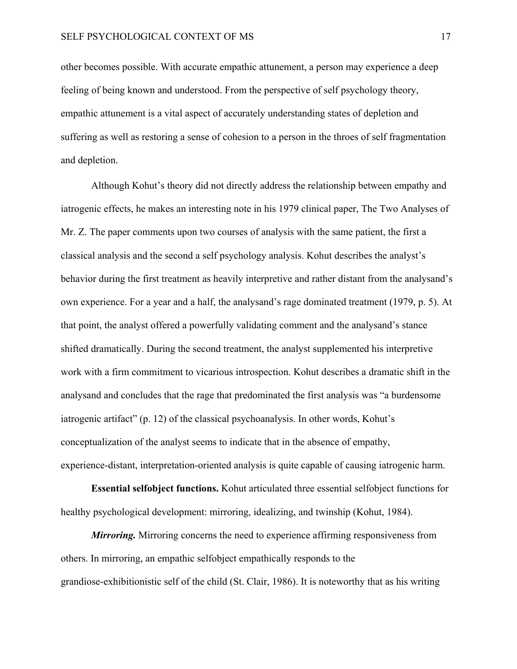other becomes possible. With accurate empathic attunement, a person may experience a deep feeling of being known and understood. From the perspective of self psychology theory, empathic attunement is a vital aspect of accurately understanding states of depletion and suffering as well as restoring a sense of cohesion to a person in the throes of self fragmentation and depletion.

Although Kohut's theory did not directly address the relationship between empathy and iatrogenic effects, he makes an interesting note in his 1979 clinical paper, The Two Analyses of Mr. Z. The paper comments upon two courses of analysis with the same patient, the first a classical analysis and the second a self psychology analysis. Kohut describes the analyst's behavior during the first treatment as heavily interpretive and rather distant from the analysand's own experience. For a year and a half, the analysand's rage dominated treatment (1979, p. 5). At that point, the analyst offered a powerfully validating comment and the analysand's stance shifted dramatically. During the second treatment, the analyst supplemented his interpretive work with a firm commitment to vicarious introspection. Kohut describes a dramatic shift in the analysand and concludes that the rage that predominated the first analysis was "a burdensome iatrogenic artifact" (p. 12) of the classical psychoanalysis. In other words, Kohut's conceptualization of the analyst seems to indicate that in the absence of empathy, experience-distant, interpretation-oriented analysis is quite capable of causing iatrogenic harm.

**Essential selfobject functions.** Kohut articulated three essential selfobject functions for healthy psychological development: mirroring, idealizing, and twinship (Kohut, 1984).

*Mirroring.* Mirroring concerns the need to experience affirming responsiveness from others. In mirroring, an empathic selfobject empathically responds to the grandiose-exhibitionistic self of the child (St. Clair, 1986). It is noteworthy that as his writing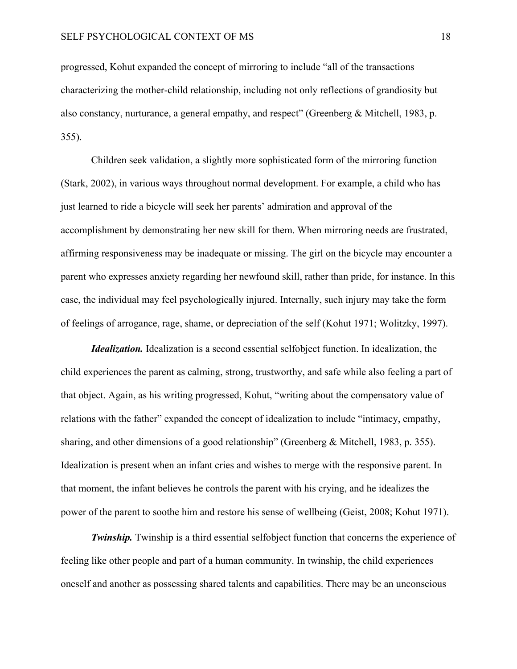progressed, Kohut expanded the concept of mirroring to include "all of the transactions characterizing the mother-child relationship, including not only reflections of grandiosity but also constancy, nurturance, a general empathy, and respect" (Greenberg & Mitchell, 1983, p. 355).

Children seek validation, a slightly more sophisticated form of the mirroring function (Stark, 2002), in various ways throughout normal development. For example, a child who has just learned to ride a bicycle will seek her parents' admiration and approval of the accomplishment by demonstrating her new skill for them. When mirroring needs are frustrated, affirming responsiveness may be inadequate or missing. The girl on the bicycle may encounter a parent who expresses anxiety regarding her newfound skill, rather than pride, for instance. In this case, the individual may feel psychologically injured. Internally, such injury may take the form of feelings of arrogance, rage, shame, or depreciation of the self (Kohut 1971; Wolitzky, 1997).

*Idealization.* Idealization is a second essential selfobject function. In idealization, the child experiences the parent as calming, strong, trustworthy, and safe while also feeling a part of that object. Again, as his writing progressed, Kohut, "writing about the compensatory value of relations with the father" expanded the concept of idealization to include "intimacy, empathy, sharing, and other dimensions of a good relationship" (Greenberg & Mitchell, 1983, p. 355). Idealization is present when an infant cries and wishes to merge with the responsive parent. In that moment, the infant believes he controls the parent with his crying, and he idealizes the power of the parent to soothe him and restore his sense of wellbeing (Geist, 2008; Kohut 1971).

**Twinship.** Twinship is a third essential selfobject function that concerns the experience of feeling like other people and part of a human community. In twinship, the child experiences oneself and another as possessing shared talents and capabilities. There may be an unconscious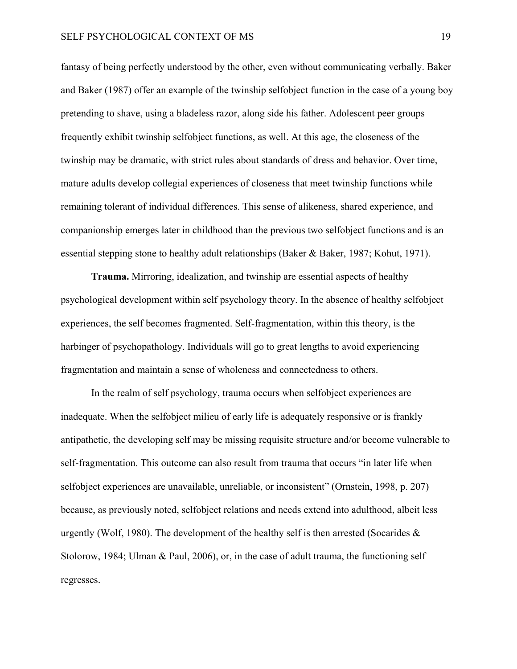fantasy of being perfectly understood by the other, even without communicating verbally. Baker and Baker (1987) offer an example of the twinship selfobject function in the case of a young boy pretending to shave, using a bladeless razor, along side his father. Adolescent peer groups frequently exhibit twinship selfobject functions, as well. At this age, the closeness of the twinship may be dramatic, with strict rules about standards of dress and behavior. Over time, mature adults develop collegial experiences of closeness that meet twinship functions while remaining tolerant of individual differences. This sense of alikeness, shared experience, and companionship emerges later in childhood than the previous two selfobject functions and is an essential stepping stone to healthy adult relationships (Baker & Baker, 1987; Kohut, 1971).

**Trauma.** Mirroring, idealization, and twinship are essential aspects of healthy psychological development within self psychology theory. In the absence of healthy selfobject experiences, the self becomes fragmented. Self-fragmentation, within this theory, is the harbinger of psychopathology. Individuals will go to great lengths to avoid experiencing fragmentation and maintain a sense of wholeness and connectedness to others.

In the realm of self psychology, trauma occurs when selfobject experiences are inadequate. When the selfobject milieu of early life is adequately responsive or is frankly antipathetic, the developing self may be missing requisite structure and/or become vulnerable to self-fragmentation. This outcome can also result from trauma that occurs "in later life when selfobject experiences are unavailable, unreliable, or inconsistent" (Ornstein, 1998, p. 207) because, as previously noted, selfobject relations and needs extend into adulthood, albeit less urgently (Wolf, 1980). The development of the healthy self is then arrested (Socarides  $\&$ Stolorow, 1984; Ulman & Paul, 2006), or, in the case of adult trauma, the functioning self regresses.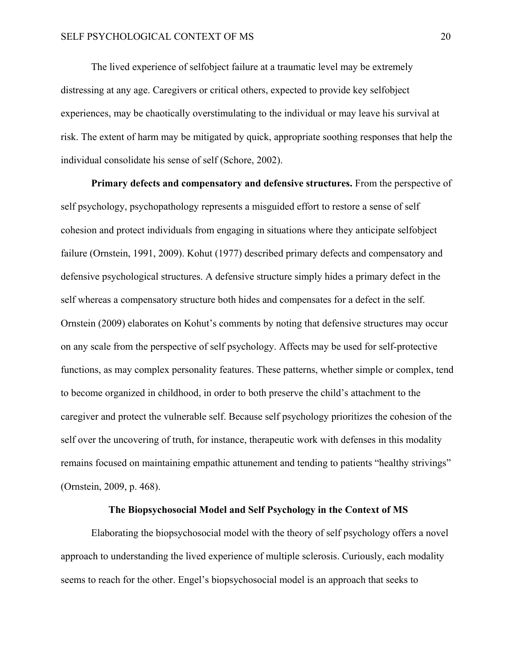The lived experience of selfobject failure at a traumatic level may be extremely distressing at any age. Caregivers or critical others, expected to provide key selfobject experiences, may be chaotically overstimulating to the individual or may leave his survival at risk. The extent of harm may be mitigated by quick, appropriate soothing responses that help the individual consolidate his sense of self (Schore, 2002).

**Primary defects and compensatory and defensive structures.** From the perspective of self psychology, psychopathology represents a misguided effort to restore a sense of self cohesion and protect individuals from engaging in situations where they anticipate selfobject failure (Ornstein, 1991, 2009). Kohut (1977) described primary defects and compensatory and defensive psychological structures. A defensive structure simply hides a primary defect in the self whereas a compensatory structure both hides and compensates for a defect in the self. Ornstein (2009) elaborates on Kohut's comments by noting that defensive structures may occur on any scale from the perspective of self psychology. Affects may be used for self-protective functions, as may complex personality features. These patterns, whether simple or complex, tend to become organized in childhood, in order to both preserve the child's attachment to the caregiver and protect the vulnerable self. Because self psychology prioritizes the cohesion of the self over the uncovering of truth, for instance, therapeutic work with defenses in this modality remains focused on maintaining empathic attunement and tending to patients "healthy strivings" (Ornstein, 2009, p. 468).

#### **The Biopsychosocial Model and Self Psychology in the Context of MS**

<span id="page-25-0"></span>Elaborating the biopsychosocial model with the theory of self psychology offers a novel approach to understanding the lived experience of multiple sclerosis. Curiously, each modality seems to reach for the other. Engel's biopsychosocial model is an approach that seeks to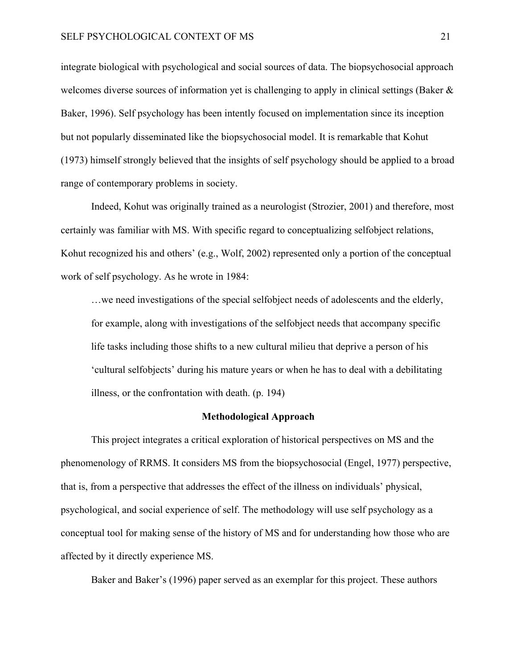integrate biological with psychological and social sources of data. The biopsychosocial approach welcomes diverse sources of information yet is challenging to apply in clinical settings (Baker & Baker, 1996). Self psychology has been intently focused on implementation since its inception but not popularly disseminated like the biopsychosocial model. It is remarkable that Kohut (1973) himself strongly believed that the insights of self psychology should be applied to a broad range of contemporary problems in society.

Indeed, Kohut was originally trained as a neurologist (Strozier, 2001) and therefore, most certainly was familiar with MS. With specific regard to conceptualizing selfobject relations, Kohut recognized his and others' (e.g., Wolf, 2002) represented only a portion of the conceptual work of self psychology. As he wrote in 1984:

…we need investigations of the special selfobject needs of adolescents and the elderly, for example, along with investigations of the selfobject needs that accompany specific life tasks including those shifts to a new cultural milieu that deprive a person of his 'cultural selfobjects' during his mature years or when he has to deal with a debilitating illness, or the confrontation with death. (p. 194)

#### **Methodological Approach**

<span id="page-26-0"></span>This project integrates a critical exploration of historical perspectives on MS and the phenomenology of RRMS. It considers MS from the biopsychosocial (Engel, 1977) perspective, that is, from a perspective that addresses the effect of the illness on individuals' physical, psychological, and social experience of self. The methodology will use self psychology as a conceptual tool for making sense of the history of MS and for understanding how those who are affected by it directly experience MS.

Baker and Baker's (1996) paper served as an exemplar for this project. These authors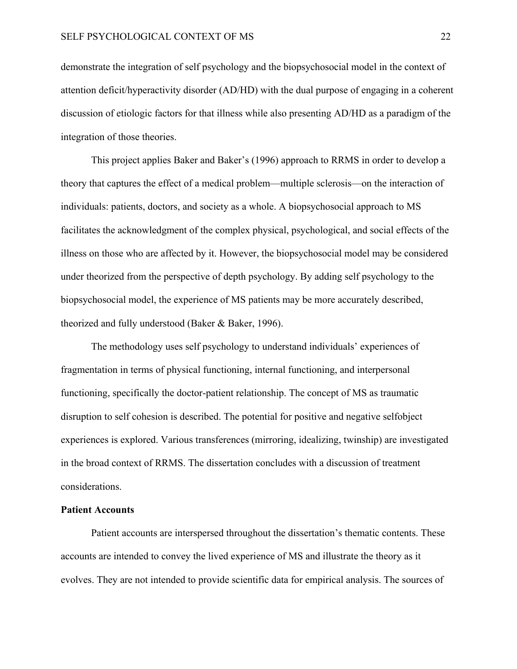demonstrate the integration of self psychology and the biopsychosocial model in the context of attention deficit/hyperactivity disorder (AD/HD) with the dual purpose of engaging in a coherent discussion of etiologic factors for that illness while also presenting AD/HD as a paradigm of the integration of those theories.

This project applies Baker and Baker's (1996) approach to RRMS in order to develop a theory that captures the effect of a medical problem—multiple sclerosis—on the interaction of individuals: patients, doctors, and society as a whole. A biopsychosocial approach to MS facilitates the acknowledgment of the complex physical, psychological, and social effects of the illness on those who are affected by it. However, the biopsychosocial model may be considered under theorized from the perspective of depth psychology. By adding self psychology to the biopsychosocial model, the experience of MS patients may be more accurately described, theorized and fully understood (Baker & Baker, 1996).

The methodology uses self psychology to understand individuals' experiences of fragmentation in terms of physical functioning, internal functioning, and interpersonal functioning, specifically the doctor-patient relationship. The concept of MS as traumatic disruption to self cohesion is described. The potential for positive and negative selfobject experiences is explored. Various transferences (mirroring, idealizing, twinship) are investigated in the broad context of RRMS. The dissertation concludes with a discussion of treatment considerations.

#### <span id="page-27-0"></span>**Patient Accounts**

Patient accounts are interspersed throughout the dissertation's thematic contents. These accounts are intended to convey the lived experience of MS and illustrate the theory as it evolves. They are not intended to provide scientific data for empirical analysis. The sources of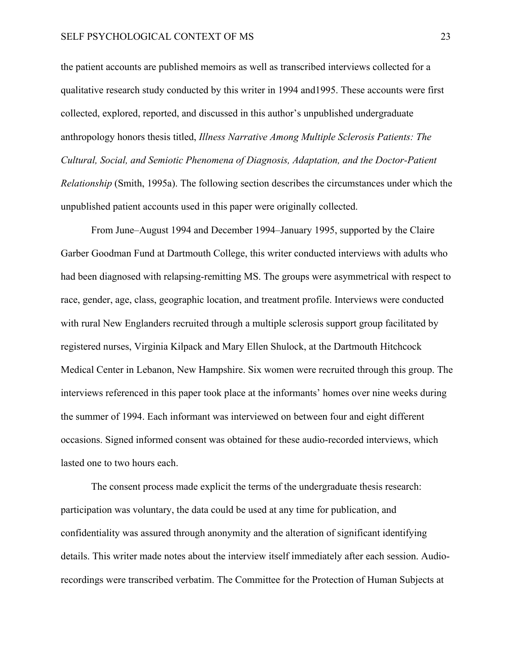the patient accounts are published memoirs as well as transcribed interviews collected for a qualitative research study conducted by this writer in 1994 and1995. These accounts were first collected, explored, reported, and discussed in this author's unpublished undergraduate anthropology honors thesis titled, *Illness Narrative Among Multiple Sclerosis Patients: The Cultural, Social, and Semiotic Phenomena of Diagnosis, Adaptation, and the Doctor-Patient Relationship* (Smith, 1995a). The following section describes the circumstances under which the unpublished patient accounts used in this paper were originally collected.

From June–August 1994 and December 1994–January 1995, supported by the Claire Garber Goodman Fund at Dartmouth College, this writer conducted interviews with adults who had been diagnosed with relapsing-remitting MS. The groups were asymmetrical with respect to race, gender, age, class, geographic location, and treatment profile. Interviews were conducted with rural New Englanders recruited through a multiple sclerosis support group facilitated by registered nurses, Virginia Kilpack and Mary Ellen Shulock, at the Dartmouth Hitchcock Medical Center in Lebanon, New Hampshire. Six women were recruited through this group. The interviews referenced in this paper took place at the informants' homes over nine weeks during the summer of 1994. Each informant was interviewed on between four and eight different occasions. Signed informed consent was obtained for these audio-recorded interviews, which lasted one to two hours each.

The consent process made explicit the terms of the undergraduate thesis research: participation was voluntary, the data could be used at any time for publication, and confidentiality was assured through anonymity and the alteration of significant identifying details. This writer made notes about the interview itself immediately after each session. Audiorecordings were transcribed verbatim. The Committee for the Protection of Human Subjects at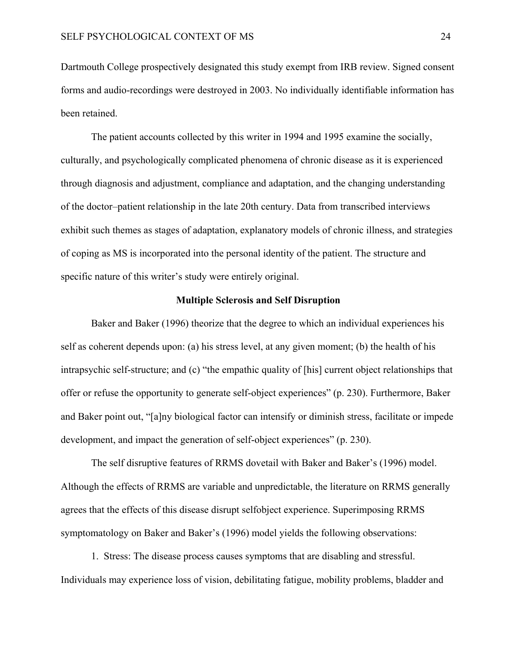Dartmouth College prospectively designated this study exempt from IRB review. Signed consent forms and audio-recordings were destroyed in 2003. No individually identifiable information has been retained.

The patient accounts collected by this writer in 1994 and 1995 examine the socially, culturally, and psychologically complicated phenomena of chronic disease as it is experienced through diagnosis and adjustment, compliance and adaptation, and the changing understanding of the doctor–patient relationship in the late 20th century. Data from transcribed interviews exhibit such themes as stages of adaptation, explanatory models of chronic illness, and strategies of coping as MS is incorporated into the personal identity of the patient. The structure and specific nature of this writer's study were entirely original.

#### **Multiple Sclerosis and Self Disruption**

<span id="page-29-0"></span>Baker and Baker (1996) theorize that the degree to which an individual experiences his self as coherent depends upon: (a) his stress level, at any given moment; (b) the health of his intrapsychic self-structure; and (c) "the empathic quality of [his] current object relationships that offer or refuse the opportunity to generate self-object experiences" (p. 230). Furthermore, Baker and Baker point out, "[a]ny biological factor can intensify or diminish stress, facilitate or impede development, and impact the generation of self-object experiences" (p. 230).

The self disruptive features of RRMS dovetail with Baker and Baker's (1996) model. Although the effects of RRMS are variable and unpredictable, the literature on RRMS generally agrees that the effects of this disease disrupt selfobject experience. Superimposing RRMS symptomatology on Baker and Baker's (1996) model yields the following observations:

1. Stress: The disease process causes symptoms that are disabling and stressful. Individuals may experience loss of vision, debilitating fatigue, mobility problems, bladder and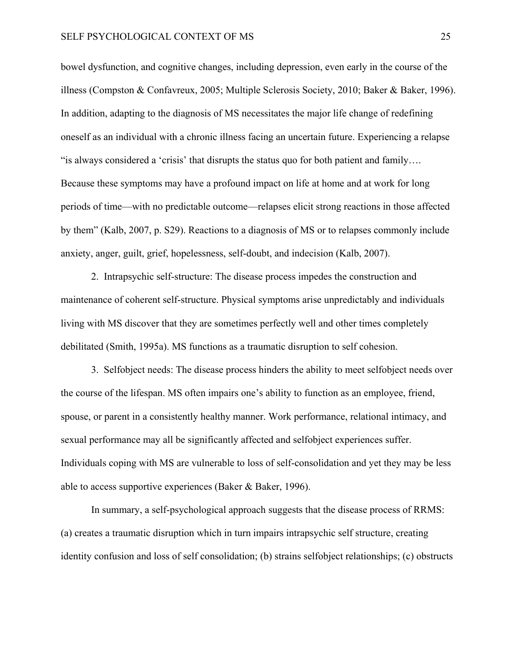bowel dysfunction, and cognitive changes, including depression, even early in the course of the illness (Compston & Confavreux, 2005; Multiple Sclerosis Society, 2010; Baker & Baker, 1996). In addition, adapting to the diagnosis of MS necessitates the major life change of redefining oneself as an individual with a chronic illness facing an uncertain future. Experiencing a relapse "is always considered a 'crisis' that disrupts the status quo for both patient and family…. Because these symptoms may have a profound impact on life at home and at work for long periods of time—with no predictable outcome—relapses elicit strong reactions in those affected by them" (Kalb, 2007, p. S29). Reactions to a diagnosis of MS or to relapses commonly include anxiety, anger, guilt, grief, hopelessness, self-doubt, and indecision (Kalb, 2007).

2. Intrapsychic self-structure: The disease process impedes the construction and maintenance of coherent self-structure. Physical symptoms arise unpredictably and individuals living with MS discover that they are sometimes perfectly well and other times completely debilitated (Smith, 1995a). MS functions as a traumatic disruption to self cohesion.

3. Selfobject needs: The disease process hinders the ability to meet selfobject needs over the course of the lifespan. MS often impairs one's ability to function as an employee, friend, spouse, or parent in a consistently healthy manner. Work performance, relational intimacy, and sexual performance may all be significantly affected and selfobject experiences suffer. Individuals coping with MS are vulnerable to loss of self-consolidation and yet they may be less able to access supportive experiences (Baker & Baker, 1996).

In summary, a self-psychological approach suggests that the disease process of RRMS: (a) creates a traumatic disruption which in turn impairs intrapsychic self structure, creating identity confusion and loss of self consolidation; (b) strains selfobject relationships; (c) obstructs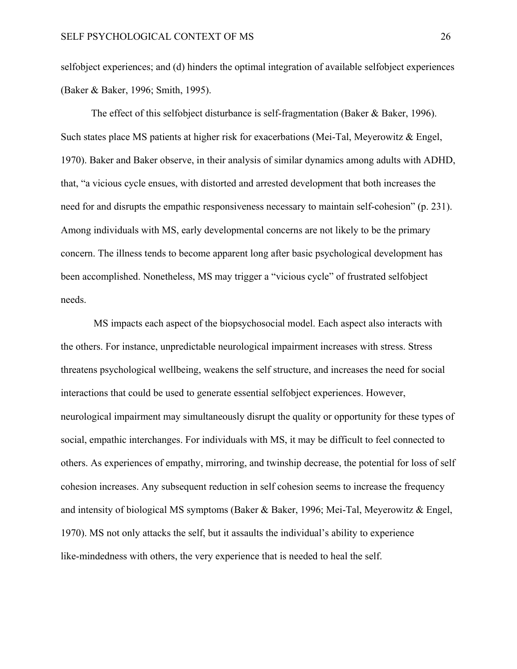selfobject experiences; and (d) hinders the optimal integration of available selfobject experiences (Baker & Baker, 1996; Smith, 1995).

The effect of this selfobject disturbance is self-fragmentation (Baker & Baker, 1996). Such states place MS patients at higher risk for exacerbations (Mei-Tal, Meyerowitz & Engel, 1970). Baker and Baker observe, in their analysis of similar dynamics among adults with ADHD, that, "a vicious cycle ensues, with distorted and arrested development that both increases the need for and disrupts the empathic responsiveness necessary to maintain self-cohesion" (p. 231). Among individuals with MS, early developmental concerns are not likely to be the primary concern. The illness tends to become apparent long after basic psychological development has been accomplished. Nonetheless, MS may trigger a "vicious cycle" of frustrated selfobject needs.

 MS impacts each aspect of the biopsychosocial model. Each aspect also interacts with the others. For instance, unpredictable neurological impairment increases with stress. Stress threatens psychological wellbeing, weakens the self structure, and increases the need for social interactions that could be used to generate essential selfobject experiences. However, neurological impairment may simultaneously disrupt the quality or opportunity for these types of social, empathic interchanges. For individuals with MS, it may be difficult to feel connected to others. As experiences of empathy, mirroring, and twinship decrease, the potential for loss of self cohesion increases. Any subsequent reduction in self cohesion seems to increase the frequency and intensity of biological MS symptoms (Baker & Baker, 1996; Mei-Tal, Meyerowitz & Engel, 1970). MS not only attacks the self, but it assaults the individual's ability to experience like-mindedness with others, the very experience that is needed to heal the self.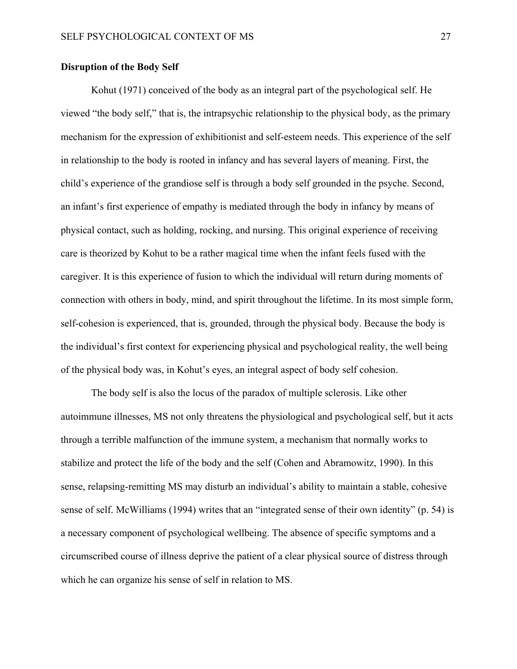#### <span id="page-32-0"></span>**Disruption of the Body Self**

Kohut (1971) conceived of the body as an integral part of the psychological self. He viewed "the body self," that is, the intrapsychic relationship to the physical body, as the primary mechanism for the expression of exhibitionist and self-esteem needs. This experience of the self in relationship to the body is rooted in infancy and has several layers of meaning. First, the child's experience of the grandiose self is through a body self grounded in the psyche. Second, an infant's first experience of empathy is mediated through the body in infancy by means of physical contact, such as holding, rocking, and nursing. This original experience of receiving care is theorized by Kohut to be a rather magical time when the infant feels fused with the caregiver. It is this experience of fusion to which the individual will return during moments of connection with others in body, mind, and spirit throughout the lifetime. In its most simple form, self-cohesion is experienced, that is, grounded, through the physical body. Because the body is the individual's first context for experiencing physical and psychological reality, the well being of the physical body was, in Kohut's eyes, an integral aspect of body self cohesion.

The body self is also the locus of the paradox of multiple sclerosis. Like other autoimmune illnesses, MS not only threatens the physiological and psychological self, but it acts through a terrible malfunction of the immune system, a mechanism that normally works to stabilize and protect the life of the body and the self (Cohen and Abramowitz, 1990). In this sense, relapsing-remitting MS may disturb an individual's ability to maintain a stable, cohesive sense of self. McWilliams (1994) writes that an "integrated sense of their own identity" (p. 54) is a necessary component of psychological wellbeing. The absence of specific symptoms and a circumscribed course of illness deprive the patient of a clear physical source of distress through which he can organize his sense of self in relation to MS.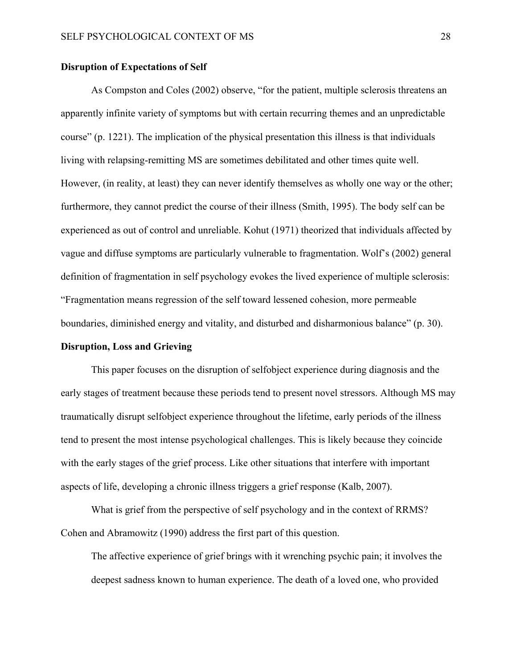#### <span id="page-33-0"></span>**Disruption of Expectations of Self**

As Compston and Coles (2002) observe, "for the patient, multiple sclerosis threatens an apparently infinite variety of symptoms but with certain recurring themes and an unpredictable course" (p. 1221). The implication of the physical presentation this illness is that individuals living with relapsing-remitting MS are sometimes debilitated and other times quite well. However, (in reality, at least) they can never identify themselves as wholly one way or the other; furthermore, they cannot predict the course of their illness (Smith, 1995). The body self can be experienced as out of control and unreliable. Kohut (1971) theorized that individuals affected by vague and diffuse symptoms are particularly vulnerable to fragmentation. Wolf's (2002) general definition of fragmentation in self psychology evokes the lived experience of multiple sclerosis: "Fragmentation means regression of the self toward lessened cohesion, more permeable boundaries, diminished energy and vitality, and disturbed and disharmonious balance" (p. 30).

#### <span id="page-33-1"></span>**Disruption, Loss and Grieving**

This paper focuses on the disruption of selfobject experience during diagnosis and the early stages of treatment because these periods tend to present novel stressors. Although MS may traumatically disrupt selfobject experience throughout the lifetime, early periods of the illness tend to present the most intense psychological challenges. This is likely because they coincide with the early stages of the grief process. Like other situations that interfere with important aspects of life, developing a chronic illness triggers a grief response (Kalb, 2007).

What is grief from the perspective of self psychology and in the context of RRMS? Cohen and Abramowitz (1990) address the first part of this question.

The affective experience of grief brings with it wrenching psychic pain; it involves the deepest sadness known to human experience. The death of a loved one, who provided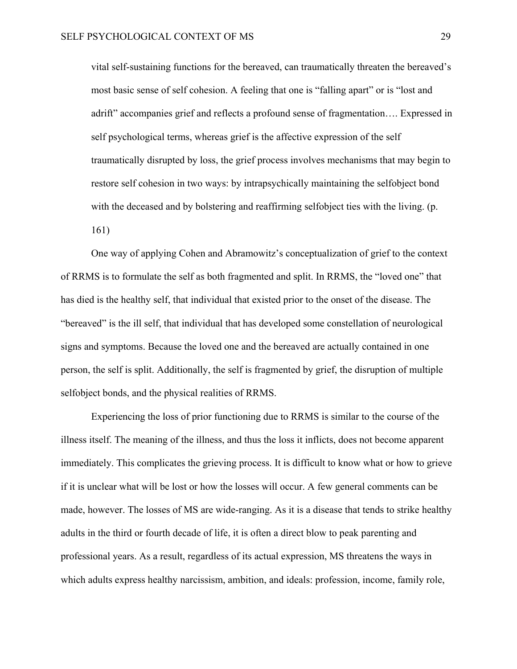vital self-sustaining functions for the bereaved, can traumatically threaten the bereaved's most basic sense of self cohesion. A feeling that one is "falling apart" or is "lost and adrift" accompanies grief and reflects a profound sense of fragmentation…. Expressed in self psychological terms, whereas grief is the affective expression of the self traumatically disrupted by loss, the grief process involves mechanisms that may begin to restore self cohesion in two ways: by intrapsychically maintaining the selfobject bond with the deceased and by bolstering and reaffirming selfobject ties with the living. (p. 161)

One way of applying Cohen and Abramowitz's conceptualization of grief to the context of RRMS is to formulate the self as both fragmented and split. In RRMS, the "loved one" that has died is the healthy self, that individual that existed prior to the onset of the disease. The "bereaved" is the ill self, that individual that has developed some constellation of neurological signs and symptoms. Because the loved one and the bereaved are actually contained in one person, the self is split. Additionally, the self is fragmented by grief, the disruption of multiple selfobject bonds, and the physical realities of RRMS.

Experiencing the loss of prior functioning due to RRMS is similar to the course of the illness itself. The meaning of the illness, and thus the loss it inflicts, does not become apparent immediately. This complicates the grieving process. It is difficult to know what or how to grieve if it is unclear what will be lost or how the losses will occur. A few general comments can be made, however. The losses of MS are wide-ranging. As it is a disease that tends to strike healthy adults in the third or fourth decade of life, it is often a direct blow to peak parenting and professional years. As a result, regardless of its actual expression, MS threatens the ways in which adults express healthy narcissism, ambition, and ideals: profession, income, family role,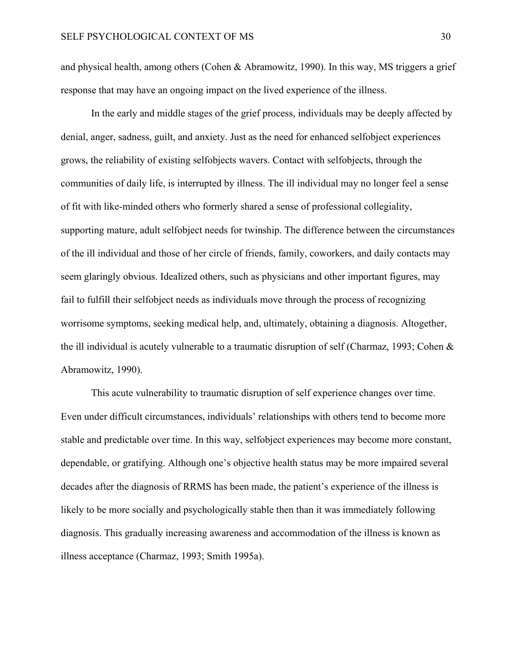and physical health, among others (Cohen & Abramowitz, 1990). In this way, MS triggers a grief response that may have an ongoing impact on the lived experience of the illness.

In the early and middle stages of the grief process, individuals may be deeply affected by denial, anger, sadness, guilt, and anxiety. Just as the need for enhanced selfobject experiences grows, the reliability of existing selfobjects wavers. Contact with selfobjects, through the communities of daily life, is interrupted by illness. The ill individual may no longer feel a sense of fit with like-minded others who formerly shared a sense of professional collegiality, supporting mature, adult selfobject needs for twinship. The difference between the circumstances of the ill individual and those of her circle of friends, family, coworkers, and daily contacts may seem glaringly obvious. Idealized others, such as physicians and other important figures, may fail to fulfill their selfobject needs as individuals move through the process of recognizing worrisome symptoms, seeking medical help, and, ultimately, obtaining a diagnosis. Altogether, the ill individual is acutely vulnerable to a traumatic disruption of self (Charmaz, 1993; Cohen & Abramowitz, 1990).

This acute vulnerability to traumatic disruption of self experience changes over time. Even under difficult circumstances, individuals' relationships with others tend to become more stable and predictable over time. In this way, selfobject experiences may become more constant, dependable, or gratifying. Although one's objective health status may be more impaired several decades after the diagnosis of RRMS has been made, the patient's experience of the illness is likely to be more socially and psychologically stable then than it was immediately following diagnosis. This gradually increasing awareness and accommodation of the illness is known as illness acceptance (Charmaz, 1993; Smith 1995a).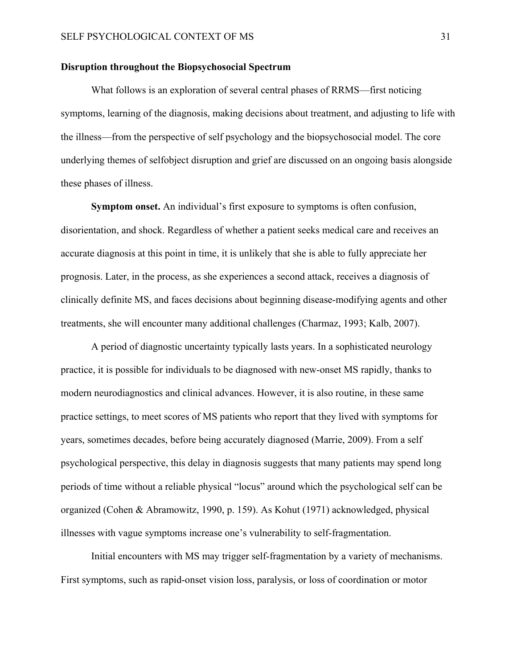#### <span id="page-36-0"></span>**Disruption throughout the Biopsychosocial Spectrum**

What follows is an exploration of several central phases of RRMS—first noticing symptoms, learning of the diagnosis, making decisions about treatment, and adjusting to life with the illness—from the perspective of self psychology and the biopsychosocial model. The core underlying themes of selfobject disruption and grief are discussed on an ongoing basis alongside these phases of illness.

**Symptom onset.** An individual's first exposure to symptoms is often confusion, disorientation, and shock. Regardless of whether a patient seeks medical care and receives an accurate diagnosis at this point in time, it is unlikely that she is able to fully appreciate her prognosis. Later, in the process, as she experiences a second attack, receives a diagnosis of clinically definite MS, and faces decisions about beginning disease-modifying agents and other treatments, she will encounter many additional challenges (Charmaz, 1993; Kalb, 2007).

A period of diagnostic uncertainty typically lasts years. In a sophisticated neurology practice, it is possible for individuals to be diagnosed with new-onset MS rapidly, thanks to modern neurodiagnostics and clinical advances. However, it is also routine, in these same practice settings, to meet scores of MS patients who report that they lived with symptoms for years, sometimes decades, before being accurately diagnosed (Marrie, 2009). From a self psychological perspective, this delay in diagnosis suggests that many patients may spend long periods of time without a reliable physical "locus" around which the psychological self can be organized (Cohen & Abramowitz, 1990, p. 159). As Kohut (1971) acknowledged, physical illnesses with vague symptoms increase one's vulnerability to self-fragmentation.

Initial encounters with MS may trigger self-fragmentation by a variety of mechanisms. First symptoms, such as rapid-onset vision loss, paralysis, or loss of coordination or motor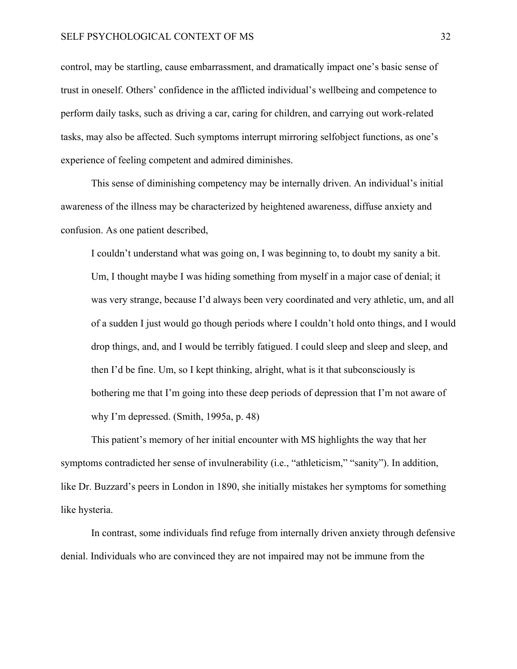control, may be startling, cause embarrassment, and dramatically impact one's basic sense of trust in oneself. Others' confidence in the afflicted individual's wellbeing and competence to perform daily tasks, such as driving a car, caring for children, and carrying out work-related tasks, may also be affected. Such symptoms interrupt mirroring selfobject functions, as one's experience of feeling competent and admired diminishes.

This sense of diminishing competency may be internally driven. An individual's initial awareness of the illness may be characterized by heightened awareness, diffuse anxiety and confusion. As one patient described,

I couldn't understand what was going on, I was beginning to, to doubt my sanity a bit. Um, I thought maybe I was hiding something from myself in a major case of denial; it was very strange, because I'd always been very coordinated and very athletic, um, and all of a sudden I just would go though periods where I couldn't hold onto things, and I would drop things, and, and I would be terribly fatigued. I could sleep and sleep and sleep, and then I'd be fine. Um, so I kept thinking, alright, what is it that subconsciously is bothering me that I'm going into these deep periods of depression that I'm not aware of why I'm depressed. (Smith, 1995a, p. 48)

This patient's memory of her initial encounter with MS highlights the way that her symptoms contradicted her sense of invulnerability (i.e., "athleticism," "sanity"). In addition, like Dr. Buzzard's peers in London in 1890, she initially mistakes her symptoms for something like hysteria.

In contrast, some individuals find refuge from internally driven anxiety through defensive denial. Individuals who are convinced they are not impaired may not be immune from the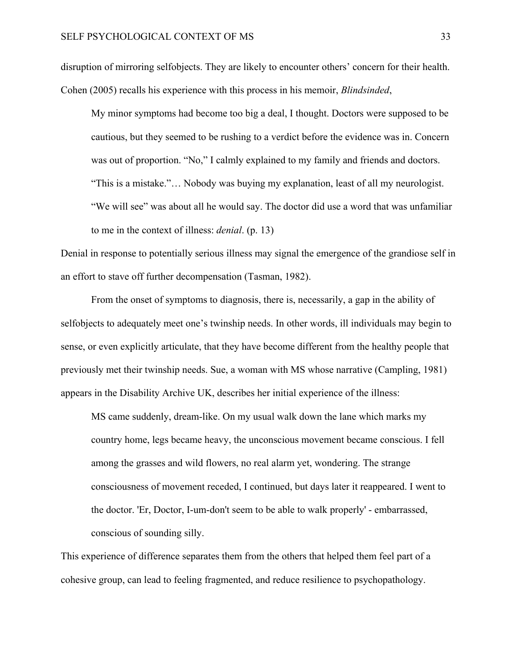disruption of mirroring selfobjects. They are likely to encounter others' concern for their health. Cohen (2005) recalls his experience with this process in his memoir, *Blindsinded*,

My minor symptoms had become too big a deal, I thought. Doctors were supposed to be cautious, but they seemed to be rushing to a verdict before the evidence was in. Concern was out of proportion. "No," I calmly explained to my family and friends and doctors. "This is a mistake."… Nobody was buying my explanation, least of all my neurologist. "We will see" was about all he would say. The doctor did use a word that was unfamiliar to me in the context of illness: *denial*. (p. 13)

Denial in response to potentially serious illness may signal the emergence of the grandiose self in an effort to stave off further decompensation (Tasman, 1982).

From the onset of symptoms to diagnosis, there is, necessarily, a gap in the ability of selfobjects to adequately meet one's twinship needs. In other words, ill individuals may begin to sense, or even explicitly articulate, that they have become different from the healthy people that previously met their twinship needs. Sue, a woman with MS whose narrative (Campling, 1981) appears in the Disability Archive UK, describes her initial experience of the illness:

MS came suddenly, dream-like. On my usual walk down the lane which marks my country home, legs became heavy, the unconscious movement became conscious. I fell among the grasses and wild flowers, no real alarm yet, wondering. The strange consciousness of movement receded, I continued, but days later it reappeared. I went to the doctor. 'Er, Doctor, I-um-don't seem to be able to walk properly' - embarrassed, conscious of sounding silly.

This experience of difference separates them from the others that helped them feel part of a cohesive group, can lead to feeling fragmented, and reduce resilience to psychopathology.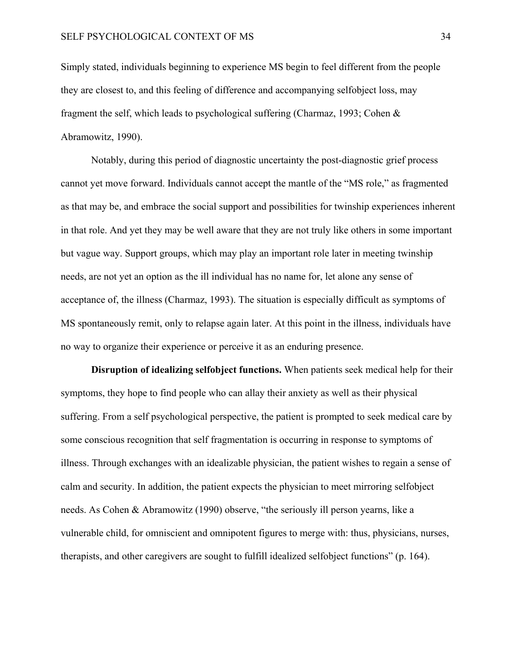Simply stated, individuals beginning to experience MS begin to feel different from the people they are closest to, and this feeling of difference and accompanying selfobject loss, may fragment the self, which leads to psychological suffering (Charmaz, 1993; Cohen & Abramowitz, 1990).

Notably, during this period of diagnostic uncertainty the post-diagnostic grief process cannot yet move forward. Individuals cannot accept the mantle of the "MS role," as fragmented as that may be, and embrace the social support and possibilities for twinship experiences inherent in that role. And yet they may be well aware that they are not truly like others in some important but vague way. Support groups, which may play an important role later in meeting twinship needs, are not yet an option as the ill individual has no name for, let alone any sense of acceptance of, the illness (Charmaz, 1993). The situation is especially difficult as symptoms of MS spontaneously remit, only to relapse again later. At this point in the illness, individuals have no way to organize their experience or perceive it as an enduring presence.

**Disruption of idealizing selfobject functions.** When patients seek medical help for their symptoms, they hope to find people who can allay their anxiety as well as their physical suffering. From a self psychological perspective, the patient is prompted to seek medical care by some conscious recognition that self fragmentation is occurring in response to symptoms of illness. Through exchanges with an idealizable physician, the patient wishes to regain a sense of calm and security. In addition, the patient expects the physician to meet mirroring selfobject needs. As Cohen & Abramowitz (1990) observe, "the seriously ill person yearns, like a vulnerable child, for omniscient and omnipotent figures to merge with: thus, physicians, nurses, therapists, and other caregivers are sought to fulfill idealized selfobject functions" (p. 164).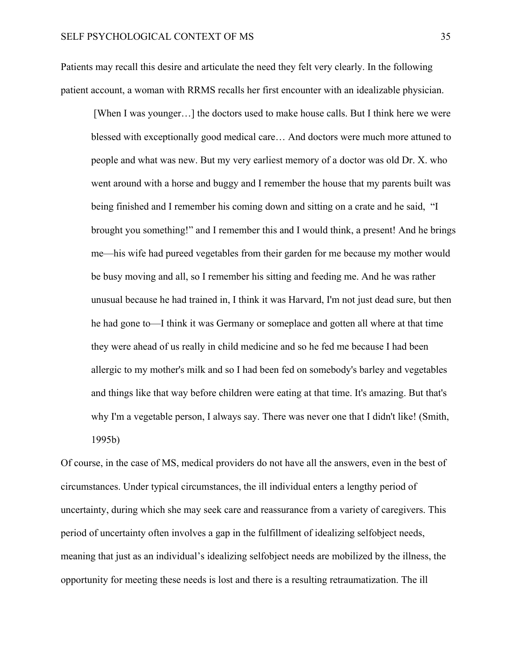Patients may recall this desire and articulate the need they felt very clearly. In the following patient account, a woman with RRMS recalls her first encounter with an idealizable physician.

 [When I was younger…] the doctors used to make house calls. But I think here we were blessed with exceptionally good medical care… And doctors were much more attuned to people and what was new. But my very earliest memory of a doctor was old Dr. X. who went around with a horse and buggy and I remember the house that my parents built was being finished and I remember his coming down and sitting on a crate and he said, "I brought you something!" and I remember this and I would think, a present! And he brings me—his wife had pureed vegetables from their garden for me because my mother would be busy moving and all, so I remember his sitting and feeding me. And he was rather unusual because he had trained in, I think it was Harvard, I'm not just dead sure, but then he had gone to—I think it was Germany or someplace and gotten all where at that time they were ahead of us really in child medicine and so he fed me because I had been allergic to my mother's milk and so I had been fed on somebody's barley and vegetables and things like that way before children were eating at that time. It's amazing. But that's why I'm a vegetable person, I always say. There was never one that I didn't like! (Smith, 1995b)

Of course, in the case of MS, medical providers do not have all the answers, even in the best of circumstances. Under typical circumstances, the ill individual enters a lengthy period of uncertainty, during which she may seek care and reassurance from a variety of caregivers. This period of uncertainty often involves a gap in the fulfillment of idealizing selfobject needs, meaning that just as an individual's idealizing selfobject needs are mobilized by the illness, the opportunity for meeting these needs is lost and there is a resulting retraumatization. The ill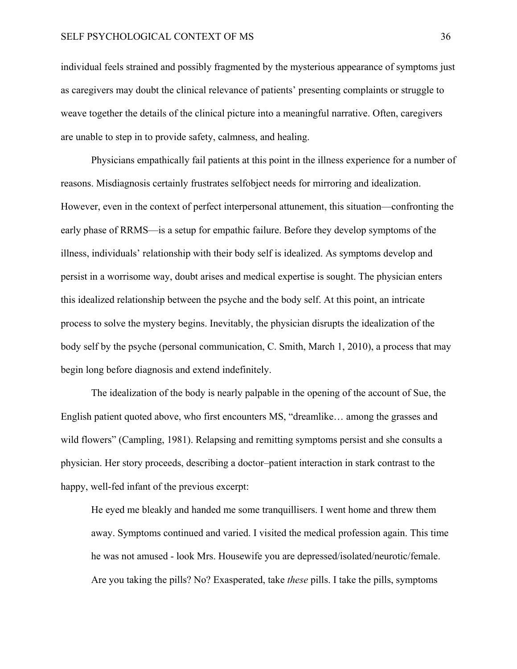individual feels strained and possibly fragmented by the mysterious appearance of symptoms just as caregivers may doubt the clinical relevance of patients' presenting complaints or struggle to weave together the details of the clinical picture into a meaningful narrative. Often, caregivers are unable to step in to provide safety, calmness, and healing.

Physicians empathically fail patients at this point in the illness experience for a number of reasons. Misdiagnosis certainly frustrates selfobject needs for mirroring and idealization. However, even in the context of perfect interpersonal attunement, this situation—confronting the early phase of RRMS—is a setup for empathic failure. Before they develop symptoms of the illness, individuals' relationship with their body self is idealized. As symptoms develop and persist in a worrisome way, doubt arises and medical expertise is sought. The physician enters this idealized relationship between the psyche and the body self. At this point, an intricate process to solve the mystery begins. Inevitably, the physician disrupts the idealization of the body self by the psyche (personal communication, C. Smith, March 1, 2010), a process that may begin long before diagnosis and extend indefinitely.

The idealization of the body is nearly palpable in the opening of the account of Sue, the English patient quoted above, who first encounters MS, "dreamlike… among the grasses and wild flowers" (Campling, 1981). Relapsing and remitting symptoms persist and she consults a physician. Her story proceeds, describing a doctor–patient interaction in stark contrast to the happy, well-fed infant of the previous excerpt:

He eyed me bleakly and handed me some tranquillisers. I went home and threw them away. Symptoms continued and varied. I visited the medical profession again. This time he was not amused - look Mrs. Housewife you are depressed/isolated/neurotic/female. Are you taking the pills? No? Exasperated, take *these* pills. I take the pills, symptoms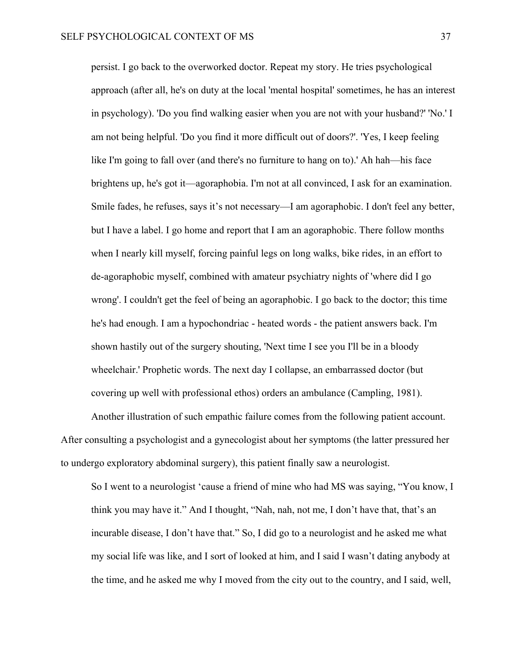persist. I go back to the overworked doctor. Repeat my story. He tries psychological approach (after all, he's on duty at the local 'mental hospital' sometimes, he has an interest in psychology). 'Do you find walking easier when you are not with your husband?' 'No.' I am not being helpful. 'Do you find it more difficult out of doors?'. 'Yes, I keep feeling like I'm going to fall over (and there's no furniture to hang on to).' Ah hah—his face brightens up, he's got it—agoraphobia. I'm not at all convinced, I ask for an examination. Smile fades, he refuses, says it's not necessary—I am agoraphobic. I don't feel any better, but I have a label. I go home and report that I am an agoraphobic. There follow months when I nearly kill myself, forcing painful legs on long walks, bike rides, in an effort to de-agoraphobic myself, combined with amateur psychiatry nights of 'where did I go wrong'. I couldn't get the feel of being an agoraphobic. I go back to the doctor; this time he's had enough. I am a hypochondriac - heated words - the patient answers back. I'm shown hastily out of the surgery shouting, 'Next time I see you I'll be in a bloody wheelchair.' Prophetic words. The next day I collapse, an embarrassed doctor (but covering up well with professional ethos) orders an ambulance (Campling, 1981).

Another illustration of such empathic failure comes from the following patient account. After consulting a psychologist and a gynecologist about her symptoms (the latter pressured her to undergo exploratory abdominal surgery), this patient finally saw a neurologist.

So I went to a neurologist 'cause a friend of mine who had MS was saying, "You know, I think you may have it." And I thought, "Nah, nah, not me, I don't have that, that's an incurable disease, I don't have that." So, I did go to a neurologist and he asked me what my social life was like, and I sort of looked at him, and I said I wasn't dating anybody at the time, and he asked me why I moved from the city out to the country, and I said, well,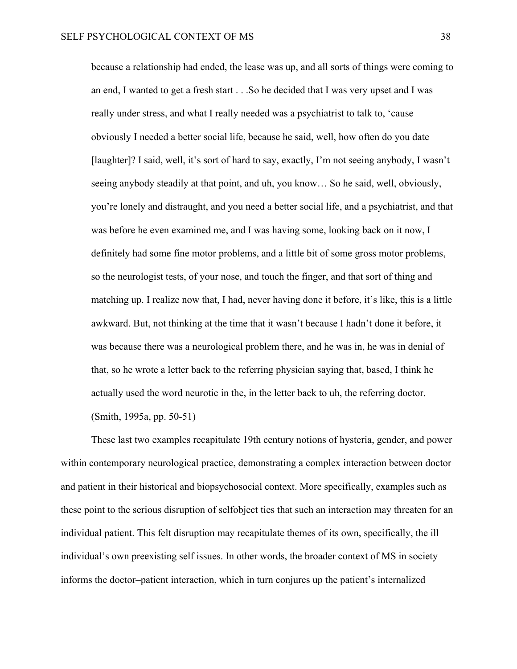because a relationship had ended, the lease was up, and all sorts of things were coming to an end, I wanted to get a fresh start . . .So he decided that I was very upset and I was really under stress, and what I really needed was a psychiatrist to talk to, 'cause obviously I needed a better social life, because he said, well, how often do you date [laughter]? I said, well, it's sort of hard to say, exactly, I'm not seeing anybody, I wasn't seeing anybody steadily at that point, and uh, you know… So he said, well, obviously, you're lonely and distraught, and you need a better social life, and a psychiatrist, and that was before he even examined me, and I was having some, looking back on it now, I definitely had some fine motor problems, and a little bit of some gross motor problems, so the neurologist tests, of your nose, and touch the finger, and that sort of thing and matching up. I realize now that, I had, never having done it before, it's like, this is a little awkward. But, not thinking at the time that it wasn't because I hadn't done it before, it was because there was a neurological problem there, and he was in, he was in denial of that, so he wrote a letter back to the referring physician saying that, based, I think he actually used the word neurotic in the, in the letter back to uh, the referring doctor.

(Smith, 1995a, pp. 50-51)

These last two examples recapitulate 19th century notions of hysteria, gender, and power within contemporary neurological practice, demonstrating a complex interaction between doctor and patient in their historical and biopsychosocial context. More specifically, examples such as these point to the serious disruption of selfobject ties that such an interaction may threaten for an individual patient. This felt disruption may recapitulate themes of its own, specifically, the ill individual's own preexisting self issues. In other words, the broader context of MS in society informs the doctor–patient interaction, which in turn conjures up the patient's internalized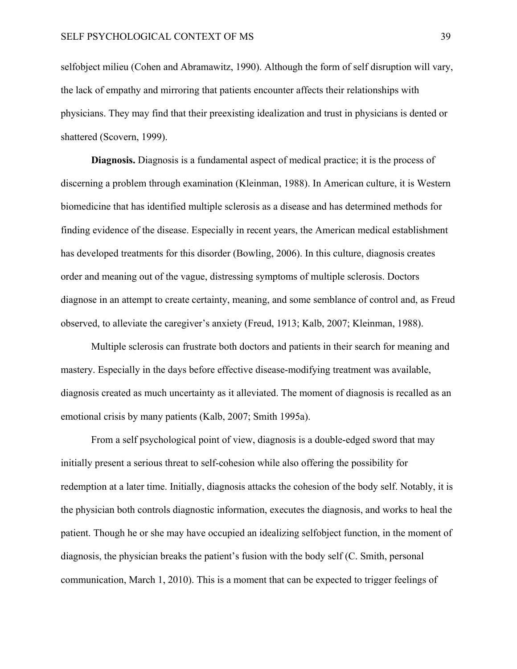selfobject milieu (Cohen and Abramawitz, 1990). Although the form of self disruption will vary, the lack of empathy and mirroring that patients encounter affects their relationships with physicians. They may find that their preexisting idealization and trust in physicians is dented or shattered (Scovern, 1999).

**Diagnosis.** Diagnosis is a fundamental aspect of medical practice; it is the process of discerning a problem through examination (Kleinman, 1988). In American culture, it is Western biomedicine that has identified multiple sclerosis as a disease and has determined methods for finding evidence of the disease. Especially in recent years, the American medical establishment has developed treatments for this disorder (Bowling, 2006). In this culture, diagnosis creates order and meaning out of the vague, distressing symptoms of multiple sclerosis. Doctors diagnose in an attempt to create certainty, meaning, and some semblance of control and, as Freud observed, to alleviate the caregiver's anxiety (Freud, 1913; Kalb, 2007; Kleinman, 1988).

Multiple sclerosis can frustrate both doctors and patients in their search for meaning and mastery. Especially in the days before effective disease-modifying treatment was available, diagnosis created as much uncertainty as it alleviated. The moment of diagnosis is recalled as an emotional crisis by many patients (Kalb, 2007; Smith 1995a).

From a self psychological point of view, diagnosis is a double-edged sword that may initially present a serious threat to self-cohesion while also offering the possibility for redemption at a later time. Initially, diagnosis attacks the cohesion of the body self. Notably, it is the physician both controls diagnostic information, executes the diagnosis, and works to heal the patient. Though he or she may have occupied an idealizing selfobject function, in the moment of diagnosis, the physician breaks the patient's fusion with the body self (C. Smith, personal communication, March 1, 2010). This is a moment that can be expected to trigger feelings of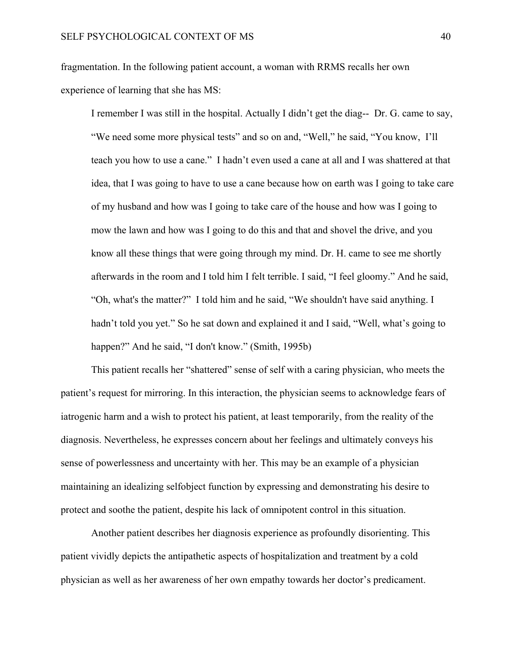fragmentation. In the following patient account, a woman with RRMS recalls her own experience of learning that she has MS:

I remember I was still in the hospital. Actually I didn't get the diag-- Dr. G. came to say, "We need some more physical tests" and so on and, "Well," he said, "You know, I'll teach you how to use a cane." I hadn't even used a cane at all and I was shattered at that idea, that I was going to have to use a cane because how on earth was I going to take care of my husband and how was I going to take care of the house and how was I going to mow the lawn and how was I going to do this and that and shovel the drive, and you know all these things that were going through my mind. Dr. H. came to see me shortly afterwards in the room and I told him I felt terrible. I said, "I feel gloomy." And he said, "Oh, what's the matter?" I told him and he said, "We shouldn't have said anything. I hadn't told you yet." So he sat down and explained it and I said, "Well, what's going to happen?" And he said, "I don't know." (Smith, 1995b)

This patient recalls her "shattered" sense of self with a caring physician, who meets the patient's request for mirroring. In this interaction, the physician seems to acknowledge fears of iatrogenic harm and a wish to protect his patient, at least temporarily, from the reality of the diagnosis. Nevertheless, he expresses concern about her feelings and ultimately conveys his sense of powerlessness and uncertainty with her. This may be an example of a physician maintaining an idealizing selfobject function by expressing and demonstrating his desire to protect and soothe the patient, despite his lack of omnipotent control in this situation.

Another patient describes her diagnosis experience as profoundly disorienting. This patient vividly depicts the antipathetic aspects of hospitalization and treatment by a cold physician as well as her awareness of her own empathy towards her doctor's predicament.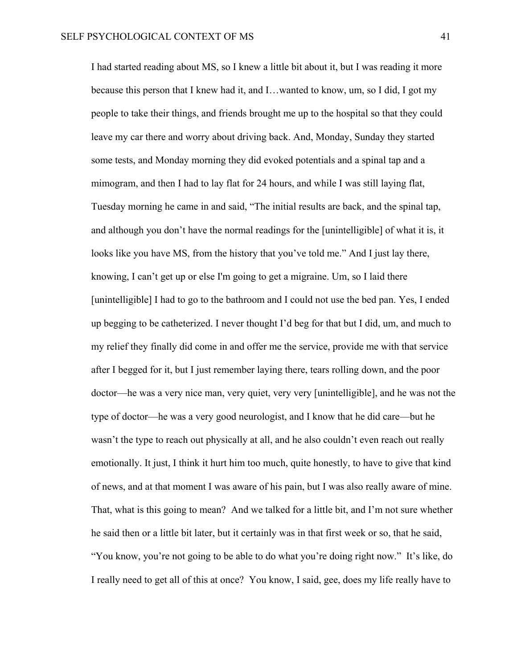I had started reading about MS, so I knew a little bit about it, but I was reading it more because this person that I knew had it, and I…wanted to know, um, so I did, I got my people to take their things, and friends brought me up to the hospital so that they could leave my car there and worry about driving back. And, Monday, Sunday they started some tests, and Monday morning they did evoked potentials and a spinal tap and a mimogram, and then I had to lay flat for 24 hours, and while I was still laying flat, Tuesday morning he came in and said, "The initial results are back, and the spinal tap, and although you don't have the normal readings for the [unintelligible] of what it is, it looks like you have MS, from the history that you've told me." And I just lay there, knowing, I can't get up or else I'm going to get a migraine. Um, so I laid there [unintelligible] I had to go to the bathroom and I could not use the bed pan. Yes, I ended up begging to be catheterized. I never thought I'd beg for that but I did, um, and much to my relief they finally did come in and offer me the service, provide me with that service after I begged for it, but I just remember laying there, tears rolling down, and the poor doctor—he was a very nice man, very quiet, very very [unintelligible], and he was not the type of doctor—he was a very good neurologist, and I know that he did care—but he wasn't the type to reach out physically at all, and he also couldn't even reach out really emotionally. It just, I think it hurt him too much, quite honestly, to have to give that kind of news, and at that moment I was aware of his pain, but I was also really aware of mine. That, what is this going to mean? And we talked for a little bit, and I'm not sure whether he said then or a little bit later, but it certainly was in that first week or so, that he said, "You know, you're not going to be able to do what you're doing right now." It's like, do I really need to get all of this at once? You know, I said, gee, does my life really have to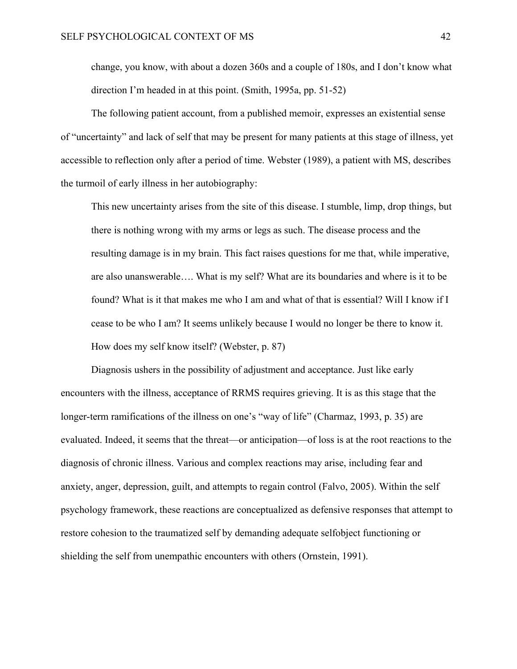change, you know, with about a dozen 360s and a couple of 180s, and I don't know what direction I'm headed in at this point. (Smith, 1995a, pp. 51-52)

The following patient account, from a published memoir, expresses an existential sense of "uncertainty" and lack of self that may be present for many patients at this stage of illness, yet accessible to reflection only after a period of time. Webster (1989), a patient with MS, describes the turmoil of early illness in her autobiography:

This new uncertainty arises from the site of this disease. I stumble, limp, drop things, but there is nothing wrong with my arms or legs as such. The disease process and the resulting damage is in my brain. This fact raises questions for me that, while imperative, are also unanswerable…. What is my self? What are its boundaries and where is it to be found? What is it that makes me who I am and what of that is essential? Will I know if I cease to be who I am? It seems unlikely because I would no longer be there to know it. How does my self know itself? (Webster, p. 87)

Diagnosis ushers in the possibility of adjustment and acceptance. Just like early encounters with the illness, acceptance of RRMS requires grieving. It is as this stage that the longer-term ramifications of the illness on one's "way of life" (Charmaz, 1993, p. 35) are evaluated. Indeed, it seems that the threat—or anticipation—of loss is at the root reactions to the diagnosis of chronic illness. Various and complex reactions may arise, including fear and anxiety, anger, depression, guilt, and attempts to regain control (Falvo, 2005). Within the self psychology framework, these reactions are conceptualized as defensive responses that attempt to restore cohesion to the traumatized self by demanding adequate selfobject functioning or shielding the self from unempathic encounters with others (Ornstein, 1991).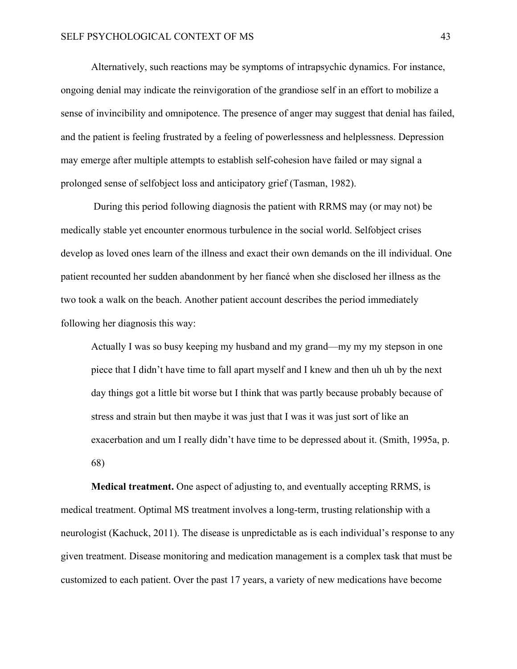Alternatively, such reactions may be symptoms of intrapsychic dynamics. For instance, ongoing denial may indicate the reinvigoration of the grandiose self in an effort to mobilize a sense of invincibility and omnipotence. The presence of anger may suggest that denial has failed, and the patient is feeling frustrated by a feeling of powerlessness and helplessness. Depression may emerge after multiple attempts to establish self-cohesion have failed or may signal a prolonged sense of selfobject loss and anticipatory grief (Tasman, 1982).

 During this period following diagnosis the patient with RRMS may (or may not) be medically stable yet encounter enormous turbulence in the social world. Selfobject crises develop as loved ones learn of the illness and exact their own demands on the ill individual. One patient recounted her sudden abandonment by her fiancé when she disclosed her illness as the two took a walk on the beach. Another patient account describes the period immediately following her diagnosis this way:

Actually I was so busy keeping my husband and my grand—my my my stepson in one piece that I didn't have time to fall apart myself and I knew and then uh uh by the next day things got a little bit worse but I think that was partly because probably because of stress and strain but then maybe it was just that I was it was just sort of like an exacerbation and um I really didn't have time to be depressed about it. (Smith, 1995a, p. 68)

**Medical treatment.** One aspect of adjusting to, and eventually accepting RRMS, is medical treatment. Optimal MS treatment involves a long-term, trusting relationship with a neurologist (Kachuck, 2011). The disease is unpredictable as is each individual's response to any given treatment. Disease monitoring and medication management is a complex task that must be customized to each patient. Over the past 17 years, a variety of new medications have become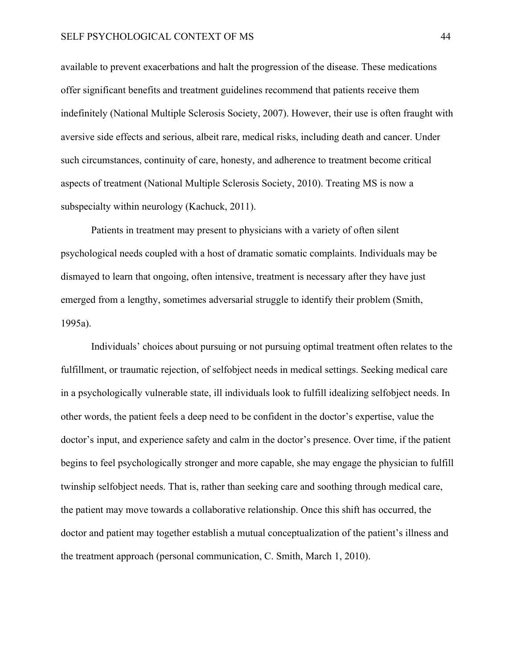available to prevent exacerbations and halt the progression of the disease. These medications offer significant benefits and treatment guidelines recommend that patients receive them indefinitely (National Multiple Sclerosis Society, 2007). However, their use is often fraught with aversive side effects and serious, albeit rare, medical risks, including death and cancer. Under such circumstances, continuity of care, honesty, and adherence to treatment become critical aspects of treatment (National Multiple Sclerosis Society, 2010). Treating MS is now a subspecialty within neurology (Kachuck, 2011).

Patients in treatment may present to physicians with a variety of often silent psychological needs coupled with a host of dramatic somatic complaints. Individuals may be dismayed to learn that ongoing, often intensive, treatment is necessary after they have just emerged from a lengthy, sometimes adversarial struggle to identify their problem (Smith, 1995a).

Individuals' choices about pursuing or not pursuing optimal treatment often relates to the fulfillment, or traumatic rejection, of selfobject needs in medical settings. Seeking medical care in a psychologically vulnerable state, ill individuals look to fulfill idealizing selfobject needs. In other words, the patient feels a deep need to be confident in the doctor's expertise, value the doctor's input, and experience safety and calm in the doctor's presence. Over time, if the patient begins to feel psychologically stronger and more capable, she may engage the physician to fulfill twinship selfobject needs. That is, rather than seeking care and soothing through medical care, the patient may move towards a collaborative relationship. Once this shift has occurred, the doctor and patient may together establish a mutual conceptualization of the patient's illness and the treatment approach (personal communication, C. Smith, March 1, 2010).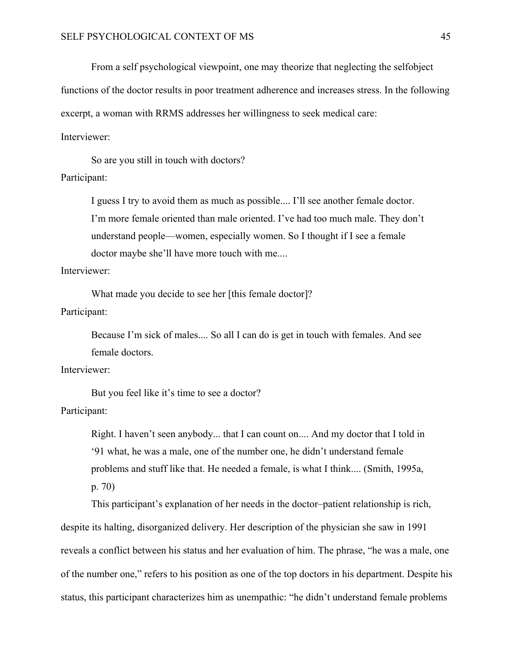From a self psychological viewpoint, one may theorize that neglecting the selfobject

functions of the doctor results in poor treatment adherence and increases stress. In the following

excerpt, a woman with RRMS addresses her willingness to seek medical care:

Interviewer:

So are you still in touch with doctors? Participant:

> I guess I try to avoid them as much as possible.... I'll see another female doctor. I'm more female oriented than male oriented. I've had too much male. They don't understand people—women, especially women. So I thought if I see a female doctor maybe she'll have more touch with me....

Interviewer:

What made you decide to see her [this female doctor]? Participant:

> Because I'm sick of males.... So all I can do is get in touch with females. And see female doctors.

Interviewer:

But you feel like it's time to see a doctor? Participant:

> Right. I haven't seen anybody... that I can count on.... And my doctor that I told in '91 what, he was a male, one of the number one, he didn't understand female problems and stuff like that. He needed a female, is what I think.... (Smith, 1995a, p. 70)

This participant's explanation of her needs in the doctor–patient relationship is rich, despite its halting, disorganized delivery. Her description of the physician she saw in 1991 reveals a conflict between his status and her evaluation of him. The phrase, "he was a male, one of the number one," refers to his position as one of the top doctors in his department. Despite his status, this participant characterizes him as unempathic: "he didn't understand female problems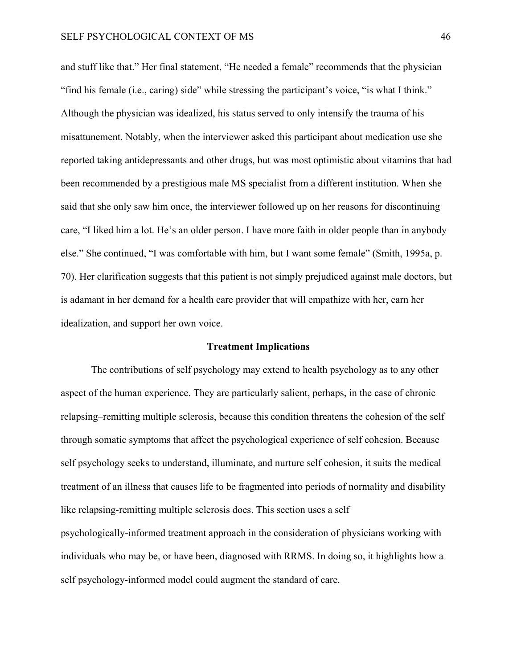and stuff like that." Her final statement, "He needed a female" recommends that the physician "find his female (i.e., caring) side" while stressing the participant's voice, "is what I think." Although the physician was idealized, his status served to only intensify the trauma of his misattunement. Notably, when the interviewer asked this participant about medication use she reported taking antidepressants and other drugs, but was most optimistic about vitamins that had been recommended by a prestigious male MS specialist from a different institution. When she said that she only saw him once, the interviewer followed up on her reasons for discontinuing care, "I liked him a lot. He's an older person. I have more faith in older people than in anybody else." She continued, "I was comfortable with him, but I want some female" (Smith, 1995a, p. 70). Her clarification suggests that this patient is not simply prejudiced against male doctors, but is adamant in her demand for a health care provider that will empathize with her, earn her idealization, and support her own voice.

#### **Treatment Implications**

<span id="page-51-0"></span>The contributions of self psychology may extend to health psychology as to any other aspect of the human experience. They are particularly salient, perhaps, in the case of chronic relapsing–remitting multiple sclerosis, because this condition threatens the cohesion of the self through somatic symptoms that affect the psychological experience of self cohesion. Because self psychology seeks to understand, illuminate, and nurture self cohesion, it suits the medical treatment of an illness that causes life to be fragmented into periods of normality and disability like relapsing-remitting multiple sclerosis does. This section uses a self psychologically-informed treatment approach in the consideration of physicians working with

individuals who may be, or have been, diagnosed with RRMS. In doing so, it highlights how a self psychology-informed model could augment the standard of care.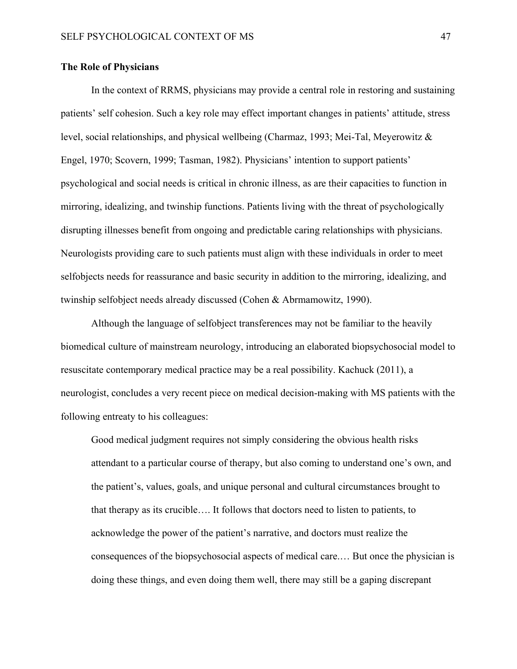#### <span id="page-52-0"></span>**The Role of Physicians**

In the context of RRMS, physicians may provide a central role in restoring and sustaining patients' self cohesion. Such a key role may effect important changes in patients' attitude, stress level, social relationships, and physical wellbeing (Charmaz, 1993; Mei-Tal, Meyerowitz & Engel, 1970; Scovern, 1999; Tasman, 1982). Physicians' intention to support patients' psychological and social needs is critical in chronic illness, as are their capacities to function in mirroring, idealizing, and twinship functions. Patients living with the threat of psychologically disrupting illnesses benefit from ongoing and predictable caring relationships with physicians. Neurologists providing care to such patients must align with these individuals in order to meet selfobjects needs for reassurance and basic security in addition to the mirroring, idealizing, and twinship selfobject needs already discussed (Cohen & Abrmamowitz, 1990).

Although the language of selfobject transferences may not be familiar to the heavily biomedical culture of mainstream neurology, introducing an elaborated biopsychosocial model to resuscitate contemporary medical practice may be a real possibility. Kachuck (2011), a neurologist, concludes a very recent piece on medical decision-making with MS patients with the following entreaty to his colleagues:

Good medical judgment requires not simply considering the obvious health risks attendant to a particular course of therapy, but also coming to understand one's own, and the patient's, values, goals, and unique personal and cultural circumstances brought to that therapy as its crucible…. It follows that doctors need to listen to patients, to acknowledge the power of the patient's narrative, and doctors must realize the consequences of the biopsychosocial aspects of medical care.… But once the physician is doing these things, and even doing them well, there may still be a gaping discrepant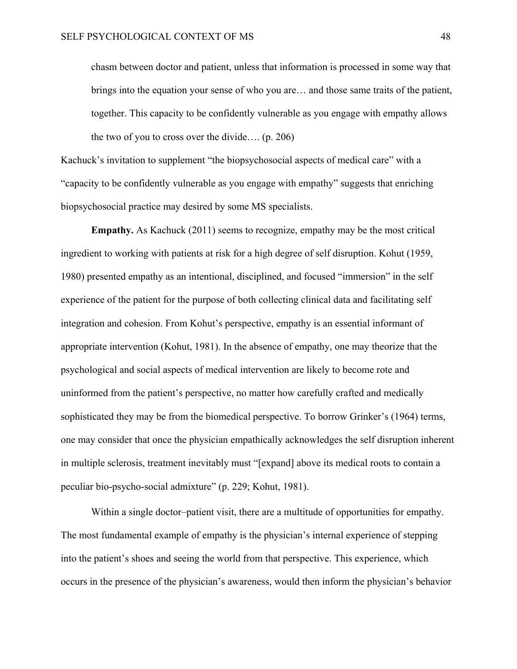chasm between doctor and patient, unless that information is processed in some way that brings into the equation your sense of who you are… and those same traits of the patient, together. This capacity to be confidently vulnerable as you engage with empathy allows the two of you to cross over the divide…. (p. 206)

Kachuck's invitation to supplement "the biopsychosocial aspects of medical care" with a "capacity to be confidently vulnerable as you engage with empathy" suggests that enriching biopsychosocial practice may desired by some MS specialists.

**Empathy.** As Kachuck (2011) seems to recognize, empathy may be the most critical ingredient to working with patients at risk for a high degree of self disruption. Kohut (1959, 1980) presented empathy as an intentional, disciplined, and focused "immersion" in the self experience of the patient for the purpose of both collecting clinical data and facilitating self integration and cohesion. From Kohut's perspective, empathy is an essential informant of appropriate intervention (Kohut, 1981). In the absence of empathy, one may theorize that the psychological and social aspects of medical intervention are likely to become rote and uninformed from the patient's perspective, no matter how carefully crafted and medically sophisticated they may be from the biomedical perspective. To borrow Grinker's (1964) terms, one may consider that once the physician empathically acknowledges the self disruption inherent in multiple sclerosis, treatment inevitably must "[expand] above its medical roots to contain a peculiar bio-psycho-social admixture" (p. 229; Kohut, 1981).

Within a single doctor–patient visit, there are a multitude of opportunities for empathy. The most fundamental example of empathy is the physician's internal experience of stepping into the patient's shoes and seeing the world from that perspective. This experience, which occurs in the presence of the physician's awareness, would then inform the physician's behavior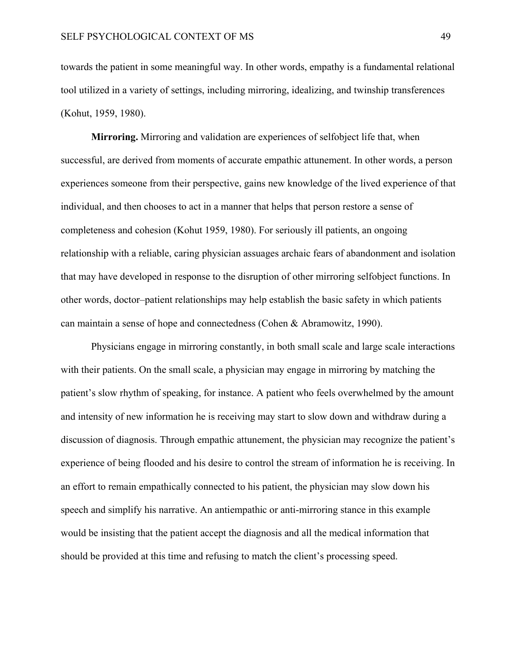towards the patient in some meaningful way. In other words, empathy is a fundamental relational tool utilized in a variety of settings, including mirroring, idealizing, and twinship transferences (Kohut, 1959, 1980).

**Mirroring.** Mirroring and validation are experiences of selfobject life that, when successful, are derived from moments of accurate empathic attunement. In other words, a person experiences someone from their perspective, gains new knowledge of the lived experience of that individual, and then chooses to act in a manner that helps that person restore a sense of completeness and cohesion (Kohut 1959, 1980). For seriously ill patients, an ongoing relationship with a reliable, caring physician assuages archaic fears of abandonment and isolation that may have developed in response to the disruption of other mirroring selfobject functions. In other words, doctor–patient relationships may help establish the basic safety in which patients can maintain a sense of hope and connectedness (Cohen & Abramowitz, 1990).

Physicians engage in mirroring constantly, in both small scale and large scale interactions with their patients. On the small scale, a physician may engage in mirroring by matching the patient's slow rhythm of speaking, for instance. A patient who feels overwhelmed by the amount and intensity of new information he is receiving may start to slow down and withdraw during a discussion of diagnosis. Through empathic attunement, the physician may recognize the patient's experience of being flooded and his desire to control the stream of information he is receiving. In an effort to remain empathically connected to his patient, the physician may slow down his speech and simplify his narrative. An antiempathic or anti-mirroring stance in this example would be insisting that the patient accept the diagnosis and all the medical information that should be provided at this time and refusing to match the client's processing speed.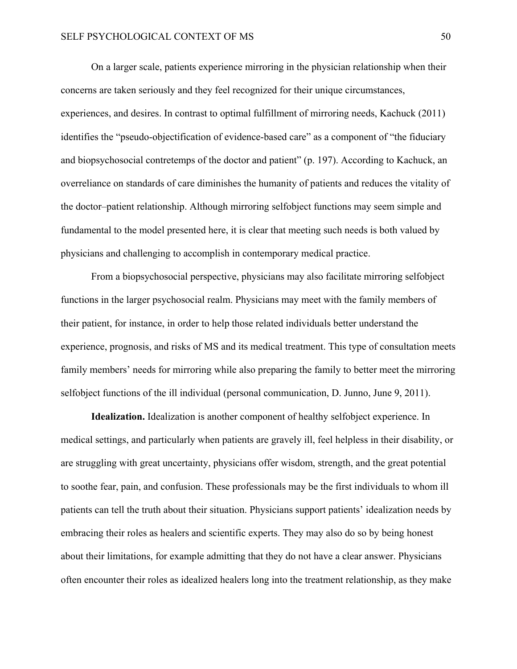On a larger scale, patients experience mirroring in the physician relationship when their concerns are taken seriously and they feel recognized for their unique circumstances, experiences, and desires. In contrast to optimal fulfillment of mirroring needs, Kachuck (2011) identifies the "pseudo-objectification of evidence-based care" as a component of "the fiduciary and biopsychosocial contretemps of the doctor and patient" (p. 197). According to Kachuck, an overreliance on standards of care diminishes the humanity of patients and reduces the vitality of the doctor–patient relationship. Although mirroring selfobject functions may seem simple and fundamental to the model presented here, it is clear that meeting such needs is both valued by physicians and challenging to accomplish in contemporary medical practice.

From a biopsychosocial perspective, physicians may also facilitate mirroring selfobject functions in the larger psychosocial realm. Physicians may meet with the family members of their patient, for instance, in order to help those related individuals better understand the experience, prognosis, and risks of MS and its medical treatment. This type of consultation meets family members' needs for mirroring while also preparing the family to better meet the mirroring selfobject functions of the ill individual (personal communication, D. Junno, June 9, 2011).

**Idealization.** Idealization is another component of healthy selfobject experience. In medical settings, and particularly when patients are gravely ill, feel helpless in their disability, or are struggling with great uncertainty, physicians offer wisdom, strength, and the great potential to soothe fear, pain, and confusion. These professionals may be the first individuals to whom ill patients can tell the truth about their situation. Physicians support patients' idealization needs by embracing their roles as healers and scientific experts. They may also do so by being honest about their limitations, for example admitting that they do not have a clear answer. Physicians often encounter their roles as idealized healers long into the treatment relationship, as they make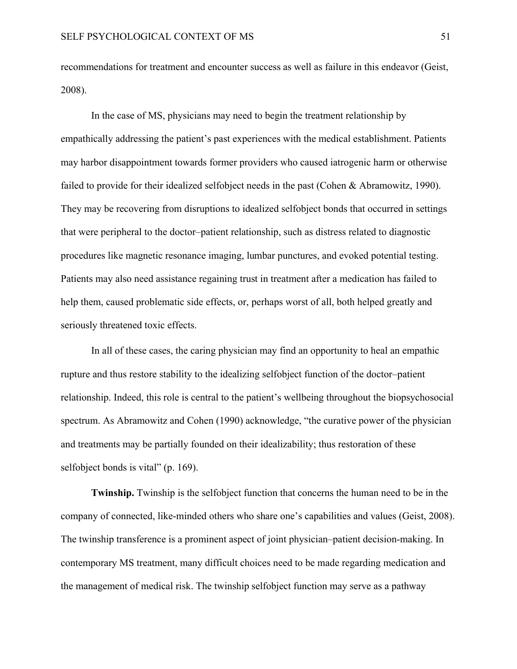recommendations for treatment and encounter success as well as failure in this endeavor (Geist, 2008).

In the case of MS, physicians may need to begin the treatment relationship by empathically addressing the patient's past experiences with the medical establishment. Patients may harbor disappointment towards former providers who caused iatrogenic harm or otherwise failed to provide for their idealized selfobject needs in the past (Cohen & Abramowitz, 1990). They may be recovering from disruptions to idealized selfobject bonds that occurred in settings that were peripheral to the doctor–patient relationship, such as distress related to diagnostic procedures like magnetic resonance imaging, lumbar punctures, and evoked potential testing. Patients may also need assistance regaining trust in treatment after a medication has failed to help them, caused problematic side effects, or, perhaps worst of all, both helped greatly and seriously threatened toxic effects.

In all of these cases, the caring physician may find an opportunity to heal an empathic rupture and thus restore stability to the idealizing selfobject function of the doctor–patient relationship. Indeed, this role is central to the patient's wellbeing throughout the biopsychosocial spectrum. As Abramowitz and Cohen (1990) acknowledge, "the curative power of the physician and treatments may be partially founded on their idealizability; thus restoration of these selfobject bonds is vital" (p. 169).

**Twinship.** Twinship is the selfobject function that concerns the human need to be in the company of connected, like-minded others who share one's capabilities and values (Geist, 2008). The twinship transference is a prominent aspect of joint physician–patient decision-making. In contemporary MS treatment, many difficult choices need to be made regarding medication and the management of medical risk. The twinship selfobject function may serve as a pathway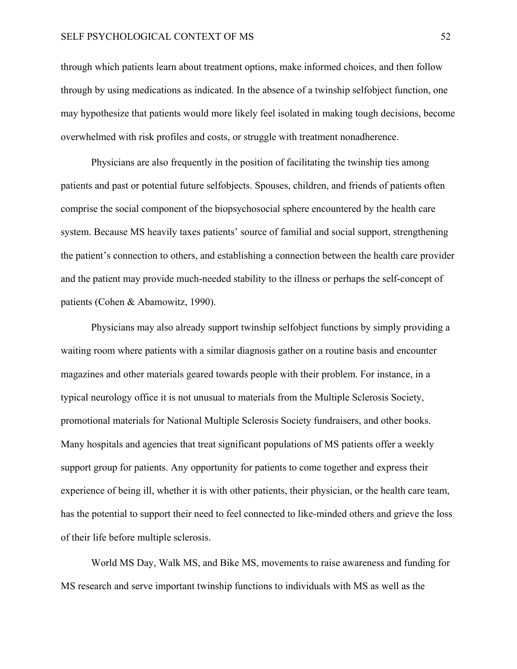through which patients learn about treatment options, make informed choices, and then follow through by using medications as indicated. In the absence of a twinship selfobject function, one may hypothesize that patients would more likely feel isolated in making tough decisions, become overwhelmed with risk profiles and costs, or struggle with treatment nonadherence.

Physicians are also frequently in the position of facilitating the twinship ties among patients and past or potential future selfobjects. Spouses, children, and friends of patients often comprise the social component of the biopsychosocial sphere encountered by the health care system. Because MS heavily taxes patients' source of familial and social support, strengthening the patient's connection to others, and establishing a connection between the health care provider and the patient may provide much-needed stability to the illness or perhaps the self-concept of patients (Cohen & Abamowitz, 1990).

Physicians may also already support twinship selfobject functions by simply providing a waiting room where patients with a similar diagnosis gather on a routine basis and encounter magazines and other materials geared towards people with their problem. For instance, in a typical neurology office it is not unusual to materials from the Multiple Sclerosis Society, promotional materials for National Multiple Sclerosis Society fundraisers, and other books. Many hospitals and agencies that treat significant populations of MS patients offer a weekly support group for patients. Any opportunity for patients to come together and express their experience of being ill, whether it is with other patients, their physician, or the health care team, has the potential to support their need to feel connected to like-minded others and grieve the loss of their life before multiple sclerosis.

World MS Day, Walk MS, and Bike MS, movements to raise awareness and funding for MS research and serve important twinship functions to individuals with MS as well as the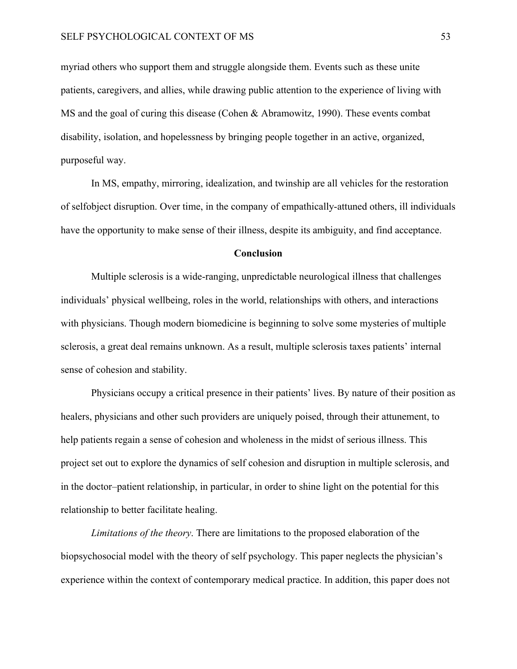myriad others who support them and struggle alongside them. Events such as these unite patients, caregivers, and allies, while drawing public attention to the experience of living with MS and the goal of curing this disease (Cohen & Abramowitz, 1990). These events combat disability, isolation, and hopelessness by bringing people together in an active, organized, purposeful way.

In MS, empathy, mirroring, idealization, and twinship are all vehicles for the restoration of selfobject disruption. Over time, in the company of empathically-attuned others, ill individuals have the opportunity to make sense of their illness, despite its ambiguity, and find acceptance.

#### **Conclusion**

<span id="page-58-0"></span>Multiple sclerosis is a wide-ranging, unpredictable neurological illness that challenges individuals' physical wellbeing, roles in the world, relationships with others, and interactions with physicians. Though modern biomedicine is beginning to solve some mysteries of multiple sclerosis, a great deal remains unknown. As a result, multiple sclerosis taxes patients' internal sense of cohesion and stability.

Physicians occupy a critical presence in their patients' lives. By nature of their position as healers, physicians and other such providers are uniquely poised, through their attunement, to help patients regain a sense of cohesion and wholeness in the midst of serious illness. This project set out to explore the dynamics of self cohesion and disruption in multiple sclerosis, and in the doctor–patient relationship, in particular, in order to shine light on the potential for this relationship to better facilitate healing.

*Limitations of the theory*. There are limitations to the proposed elaboration of the biopsychosocial model with the theory of self psychology. This paper neglects the physician's experience within the context of contemporary medical practice. In addition, this paper does not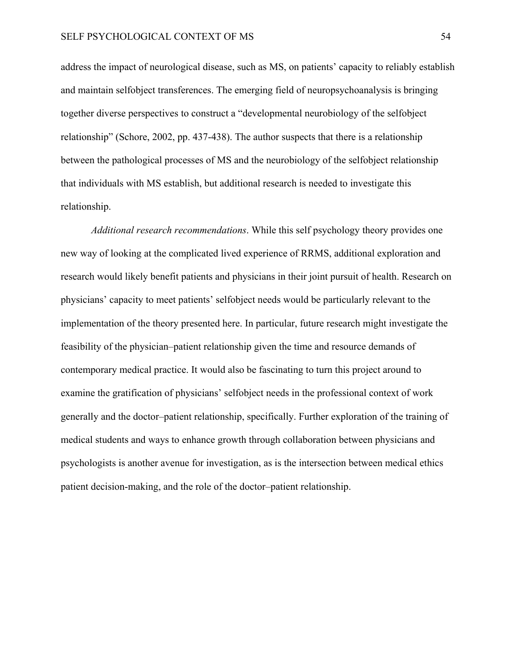address the impact of neurological disease, such as MS, on patients' capacity to reliably establish and maintain selfobject transferences. The emerging field of neuropsychoanalysis is bringing together diverse perspectives to construct a "developmental neurobiology of the selfobject relationship" (Schore, 2002, pp. 437-438). The author suspects that there is a relationship between the pathological processes of MS and the neurobiology of the selfobject relationship that individuals with MS establish, but additional research is needed to investigate this relationship.

*Additional research recommendations*. While this self psychology theory provides one new way of looking at the complicated lived experience of RRMS, additional exploration and research would likely benefit patients and physicians in their joint pursuit of health. Research on physicians' capacity to meet patients' selfobject needs would be particularly relevant to the implementation of the theory presented here. In particular, future research might investigate the feasibility of the physician–patient relationship given the time and resource demands of contemporary medical practice. It would also be fascinating to turn this project around to examine the gratification of physicians' selfobject needs in the professional context of work generally and the doctor–patient relationship, specifically. Further exploration of the training of medical students and ways to enhance growth through collaboration between physicians and psychologists is another avenue for investigation, as is the intersection between medical ethics patient decision-making, and the role of the doctor–patient relationship.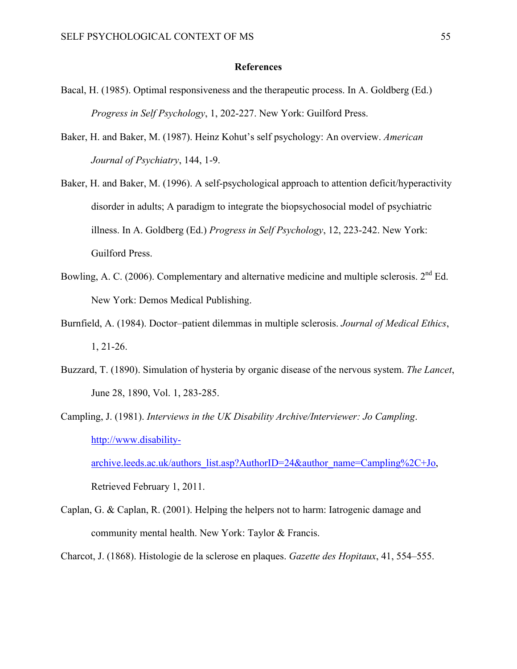#### **References**

- <span id="page-60-0"></span>Bacal, H. (1985). Optimal responsiveness and the therapeutic process. In A. Goldberg (Ed.) *Progress in Self Psychology*, 1, 202-227. New York: Guilford Press.
- Baker, H. and Baker, M. (1987). Heinz Kohut's self psychology: An overview. *American Journal of Psychiatry*, 144, 1-9.
- Baker, H. and Baker, M. (1996). A self-psychological approach to attention deficit/hyperactivity disorder in adults; A paradigm to integrate the biopsychosocial model of psychiatric illness. In A. Goldberg (Ed.) *Progress in Self Psychology*, 12, 223-242. New York: Guilford Press.
- Bowling, A. C. (2006). Complementary and alternative medicine and multiple sclerosis.  $2<sup>nd</sup> Ed$ . New York: Demos Medical Publishing.
- Burnfield, A. (1984). Doctor–patient dilemmas in multiple sclerosis. *Journal of Medical Ethics*, 1, 21-26.
- Buzzard, T. (1890). Simulation of hysteria by organic disease of the nervous system. *The Lancet*, June 28, 1890, Vol. 1, 283-285.
- Campling, J. (1981). *Interviews in the UK Disability Archive/Interviewer: Jo Campling*. [http://www.disability](http://www.disability-archive.leeds.ac.uk/authors_list.asp?AuthorID=24&author_name=Campling%2C+Jo)[archive.leeds.ac.uk/authors\\_list.asp?AuthorID=24&author\\_name=Campling%2C+Jo](http://www.disability-archive.leeds.ac.uk/authors_list.asp?AuthorID=24&author_name=Campling%2C+Jo),

Retrieved February 1, 2011.

- Caplan, G. & Caplan, R. (2001). Helping the helpers not to harm: Iatrogenic damage and community mental health. New York: Taylor & Francis.
- Charcot, J. (1868). Histologie de la sclerose en plaques. *Gazette des Hopitaux*, 41, 554–555.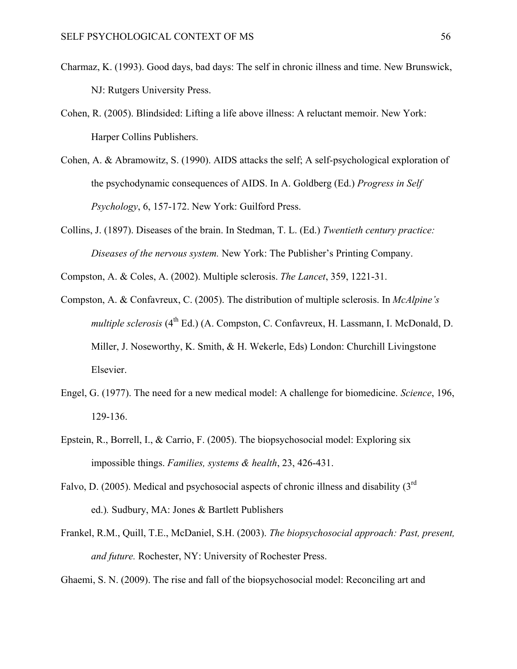- Charmaz, K. (1993). Good days, bad days: The self in chronic illness and time. New Brunswick, NJ: Rutgers University Press.
- Cohen, R. (2005). Blindsided: Lifting a life above illness: A reluctant memoir. New York: Harper Collins Publishers.
- Cohen, A. & Abramowitz, S. (1990). AIDS attacks the self; A self-psychological exploration of the psychodynamic consequences of AIDS. In A. Goldberg (Ed.) *Progress in Self Psychology*, 6, 157-172. New York: Guilford Press.
- Collins, J. (1897). Diseases of the brain. In Stedman, T. L. (Ed.) *Twentieth century practice: Diseases of the nervous system.* New York: The Publisher's Printing Company.
- Compston, A. & Coles, A. (2002). Multiple sclerosis. *The Lancet*, 359, 1221-31.
- Compston, A. & Confavreux, C. (2005). The distribution of multiple sclerosis. In *McAlpine's multiple sclerosis* (4<sup>th</sup> Ed.) (A. Compston, C. Confavreux, H. Lassmann, I. McDonald, D. Miller, J. Noseworthy, K. Smith, & H. Wekerle, Eds) London: Churchill Livingstone Elsevier.
- Engel, G. (1977). The need for a new medical model: A challenge for biomedicine. *Science*, 196, 129-136.
- Epstein, R., Borrell, I., & Carrio, F. (2005). The biopsychosocial model: Exploring six impossible things. *Families, systems & health*, 23, 426-431.
- Falvo, D. (2005). Medical and psychosocial aspects of chronic illness and disability (3<sup>rd</sup>) ed.)*.* Sudbury, MA: Jones & Bartlett Publishers
- Frankel, R.M., Quill, T.E., McDaniel, S.H. (2003). *The biopsychosocial approach: Past, present, and future.* Rochester, NY: University of Rochester Press.

Ghaemi, S. N. (2009). The rise and fall of the biopsychosocial model: Reconciling art and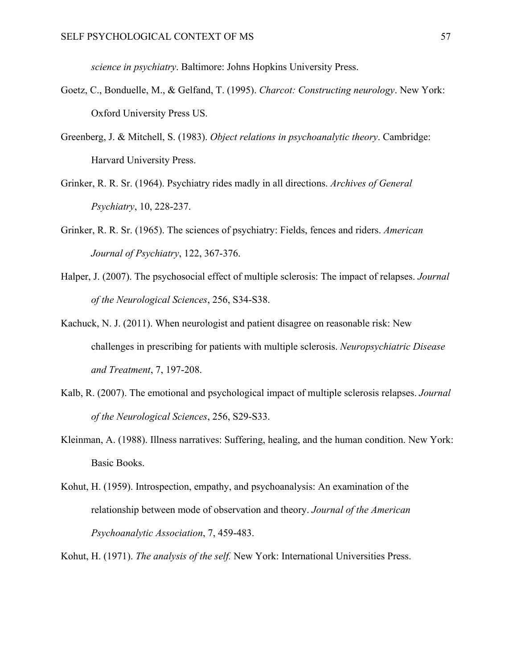*science in psychiatry*. Baltimore: Johns Hopkins University Press.

- Goetz, C., Bonduelle, M., & Gelfand, T. (1995). *Charcot: Constructing neurology*. New York: Oxford University Press US.
- Greenberg, J. & Mitchell, S. (1983). *Object relations in psychoanalytic theory*. Cambridge: Harvard University Press.
- Grinker, R. R. Sr. (1964). Psychiatry rides madly in all directions. *Archives of General Psychiatry*, 10, 228-237.
- Grinker, R. R. Sr. (1965). The sciences of psychiatry: Fields, fences and riders. *American Journal of Psychiatry*, 122, 367-376.
- Halper, J. (2007). The psychosocial effect of multiple sclerosis: The impact of relapses. *Journal of the Neurological Sciences*, 256, S34-S38.
- Kachuck, N. J. (2011). When neurologist and patient disagree on reasonable risk: New challenges in prescribing for patients with multiple sclerosis. *Neuropsychiatric Disease and Treatment*, 7, 197-208.
- Kalb, R. (2007). The emotional and psychological impact of multiple sclerosis relapses. *Journal of the Neurological Sciences*, 256, S29-S33.
- Kleinman, A. (1988). Illness narratives: Suffering, healing, and the human condition. New York: Basic Books.
- Kohut, H. (1959). Introspection, empathy, and psychoanalysis: An examination of the relationship between mode of observation and theory. *Journal of the American Psychoanalytic Association*, 7, 459-483.
- Kohut, H. (1971). *The analysis of the self.* New York: International Universities Press.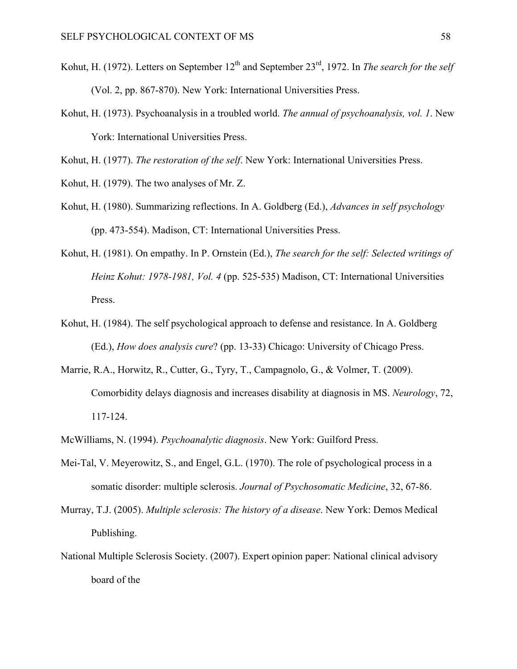- Kohut, H. (1972). Letters on September 12<sup>th</sup> and September 23<sup>rd</sup>, 1972. In *The search for the self* (Vol. 2, pp. 867-870). New York: International Universities Press.
- Kohut, H. (1973). Psychoanalysis in a troubled world. *The annual of psychoanalysis, vol. 1*. New York: International Universities Press.

Kohut, H. (1977). *The restoration of the self*. New York: International Universities Press.

- Kohut, H. (1979). The two analyses of Mr. Z.
- Kohut, H. (1980). Summarizing reflections. In A. Goldberg (Ed.), *Advances in self psychology* (pp. 473-554). Madison, CT: International Universities Press.
- Kohut, H. (1981). On empathy. In P. Ornstein (Ed.), *The search for the self: Selected writings of Heinz Kohut: 1978-1981, Vol. 4* (pp. 525-535) Madison, CT: International Universities Press.
- Kohut, H. (1984). The self psychological approach to defense and resistance. In A. Goldberg (Ed.), *How does analysis cure*? (pp. 13-33) Chicago: University of Chicago Press.
- Marrie, R.A., Horwitz, R., Cutter, G., Tyry, T., Campagnolo, G., & Volmer, T. (2009). Comorbidity delays diagnosis and increases disability at diagnosis in MS. *Neurology*, 72, 117-124.
- McWilliams, N. (1994). *Psychoanalytic diagnosis*. New York: Guilford Press.
- Mei-Tal, V. Meyerowitz, S., and Engel, G.L. (1970). The role of psychological process in a somatic disorder: multiple sclerosis. *Journal of Psychosomatic Medicine*, 32, 67-86.
- Murray, T.J. (2005). *Multiple sclerosis: The history of a disease*. New York: Demos Medical Publishing.
- National Multiple Sclerosis Society. (2007). Expert opinion paper: National clinical advisory board of the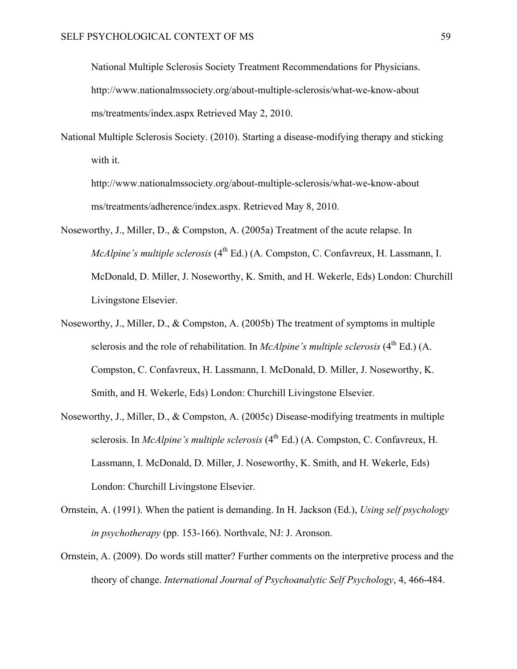National Multiple Sclerosis Society Treatment Recommendations for Physicians. http://www.nationalmssociety.org/about-multiple-sclerosis/what-we-know-about ms/treatments/index.aspx Retrieved May 2, 2010.

National Multiple Sclerosis Society. (2010). Starting a disease-modifying therapy and sticking with it.

http://www.nationalmssociety.org/about-multiple-sclerosis/what-we-know-about ms/treatments/adherence/index.aspx. Retrieved May 8, 2010.

- Noseworthy, J., Miller, D., & Compston, A. (2005a) Treatment of the acute relapse. In *McAlpine's multiple sclerosis* (4<sup>th</sup> Ed.) (A. Compston, C. Confavreux, H. Lassmann, I. McDonald, D. Miller, J. Noseworthy, K. Smith, and H. Wekerle, Eds) London: Churchill Livingstone Elsevier.
- Noseworthy, J., Miller, D., & Compston, A. (2005b) The treatment of symptoms in multiple sclerosis and the role of rehabilitation. In *McAlpine's multiple sclerosis* (4<sup>th</sup> Ed.) (A. Compston, C. Confavreux, H. Lassmann, I. McDonald, D. Miller, J. Noseworthy, K. Smith, and H. Wekerle, Eds) London: Churchill Livingstone Elsevier.
- Noseworthy, J., Miller, D., & Compston, A. (2005c) Disease-modifying treatments in multiple sclerosis. In *McAlpine's multiple sclerosis* (4<sup>th</sup> Ed.) (A. Compston, C. Confavreux, H. Lassmann, I. McDonald, D. Miller, J. Noseworthy, K. Smith, and H. Wekerle, Eds) London: Churchill Livingstone Elsevier.
- Ornstein, A. (1991). When the patient is demanding. In H. Jackson (Ed.), *Using self psychology in psychotherapy* (pp. 153-166). Northvale, NJ: J. Aronson.
- Ornstein, A. (2009). Do words still matter? Further comments on the interpretive process and the theory of change. *International Journal of Psychoanalytic Self Psychology*, 4, 466-484.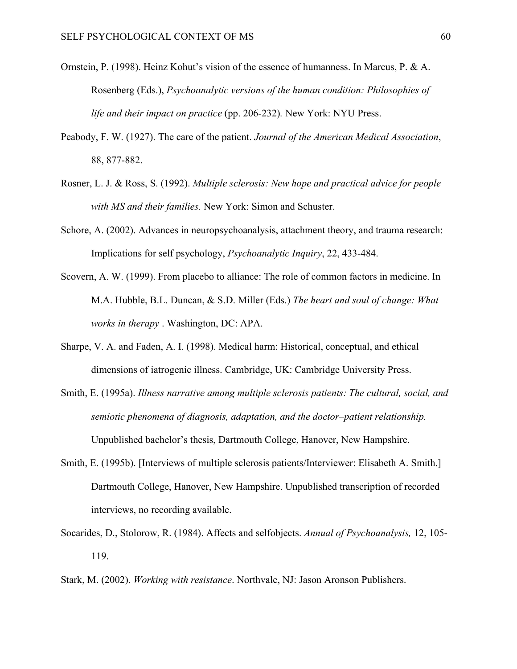- Ornstein, P. (1998). Heinz Kohut's vision of the essence of humanness. In Marcus, P. & A. Rosenberg (Eds.), *Psychoanalytic versions of the human condition: Philosophies of life and their impact on practice* (pp. 206-232)*.* New York: NYU Press.
- Peabody, F. W. (1927). The care of the patient. *Journal of the American Medical Association*, 88, 877-882.
- Rosner, L. J. & Ross, S. (1992). *Multiple sclerosis: New hope and practical advice for people with MS and their families.* New York: Simon and Schuster.
- Schore, A. (2002). [Advances in neuropsychoanalysis, attachment theory, and trauma research:](http://www.allanschore.com/pdf/SchorePsychInq02.pdf)  [Implications for self psychology,](http://www.allanschore.com/pdf/SchorePsychInq02.pdf) *Psychoanalytic Inquiry*, 22, 433-484.
- Scovern, A. W. (1999). From placebo to alliance: The role of common factors in medicine. In M.A. Hubble, B.L. Duncan, & S.D. Miller (Eds.) *The heart and soul of change: What works in therapy* . Washington, DC: APA.
- Sharpe, V. A. and Faden, A. I. (1998). Medical harm: Historical, conceptual, and ethical dimensions of iatrogenic illness. Cambridge, UK: Cambridge University Press.
- Smith, E. (1995a). *Illness narrative among multiple sclerosis patients: The cultural, social, and semiotic phenomena of diagnosis, adaptation, and the doctor–patient relationship.*  Unpublished bachelor's thesis, Dartmouth College, Hanover, New Hampshire.
- Smith, E. (1995b). [Interviews of multiple sclerosis patients/Interviewer: Elisabeth A. Smith.] Dartmouth College, Hanover, New Hampshire. Unpublished transcription of recorded interviews, no recording available.
- Socarides, D., Stolorow, R. (1984). Affects and selfobjects. *Annual of Psychoanalysis,* 12, 105- 119.
- Stark, M. (2002). *Working with resistance*. Northvale, NJ: Jason Aronson Publishers.